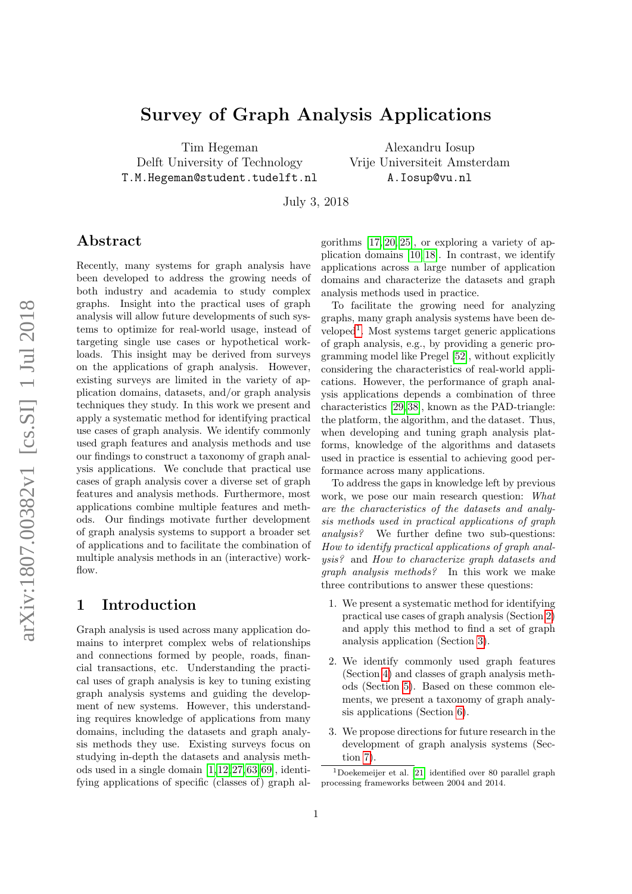# Survey of Graph Analysis Applications

Tim Hegeman Delft University of Technology T.M.Hegeman@student.tudelft.nl

Alexandru Iosup Vrije Universiteit Amsterdam A.Iosup@vu.nl

July 3, 2018

# Abstract

Recently, many systems for graph analysis have been developed to address the growing needs of both industry and academia to study complex graphs. Insight into the practical uses of graph analysis will allow future developments of such systems to optimize for real-world usage, instead of targeting single use cases or hypothetical workloads. This insight may be derived from surveys on the applications of graph analysis. However, existing surveys are limited in the variety of application domains, datasets, and/or graph analysis techniques they study. In this work we present and apply a systematic method for identifying practical use cases of graph analysis. We identify commonly used graph features and analysis methods and use our findings to construct a taxonomy of graph analysis applications. We conclude that practical use cases of graph analysis cover a diverse set of graph features and analysis methods. Furthermore, most applications combine multiple features and methods. Our findings motivate further development of graph analysis systems to support a broader set of applications and to facilitate the combination of multiple analysis methods in an (interactive) workflow.

# <span id="page-0-1"></span>1 Introduction

Graph analysis is used across many application domains to interpret complex webs of relationships and connections formed by people, roads, financial transactions, etc. Understanding the practical uses of graph analysis is key to tuning existing graph analysis systems and guiding the development of new systems. However, this understanding requires knowledge of applications from many domains, including the datasets and graph analysis methods they use. Existing surveys focus on studying in-depth the datasets and analysis methods used in a single domain [\[1,](#page-17-0)[12,](#page-18-0)[27,](#page-19-0)[63,](#page-20-0)[69\]](#page-21-0), identifying applications of specific (classes of) graph algorithms [\[17,](#page-18-1) [20,](#page-18-2) [25\]](#page-18-3), or exploring a variety of application domains [\[10,](#page-18-4) [18\]](#page-18-5). In contrast, we identify applications across a large number of application domains and characterize the datasets and graph analysis methods used in practice.

To facilitate the growing need for analyzing graphs, many graph analysis systems have been developed[1](#page-0-0) . Most systems target generic applications of graph analysis, e.g., by providing a generic programming model like Pregel [\[52\]](#page-20-1), without explicitly considering the characteristics of real-world applications. However, the performance of graph analysis applications depends a combination of three characteristics [\[29,](#page-19-1) [38\]](#page-19-2), known as the PAD-triangle: the platform, the algorithm, and the dataset. Thus, when developing and tuning graph analysis platforms, knowledge of the algorithms and datasets used in practice is essential to achieving good performance across many applications.

To address the gaps in knowledge left by previous work, we pose our main research question: What are the characteristics of the datasets and analysis methods used in practical applications of graph analysis? We further define two sub-questions: How to identify practical applications of graph analysis? and How to characterize graph datasets and graph analysis methods? In this work we make three contributions to answer these questions:

- 1. We present a systematic method for identifying practical use cases of graph analysis (Section [2\)](#page-1-0) and apply this method to find a set of graph analysis application (Section [3\)](#page-3-0).
- 2. We identify commonly used graph features (Section [4\)](#page-8-0) and classes of graph analysis methods (Section [5\)](#page-10-0). Based on these common elements, we present a taxonomy of graph analysis applications (Section [6\)](#page-13-0).
- 3. We propose directions for future research in the development of graph analysis systems (Section [7\)](#page-15-0).

<span id="page-0-0"></span> $\overline{1}$ Doekemeijer et al. [\[21\]](#page-18-6) identified over 80 parallel graph processing frameworks between 2004 and 2014.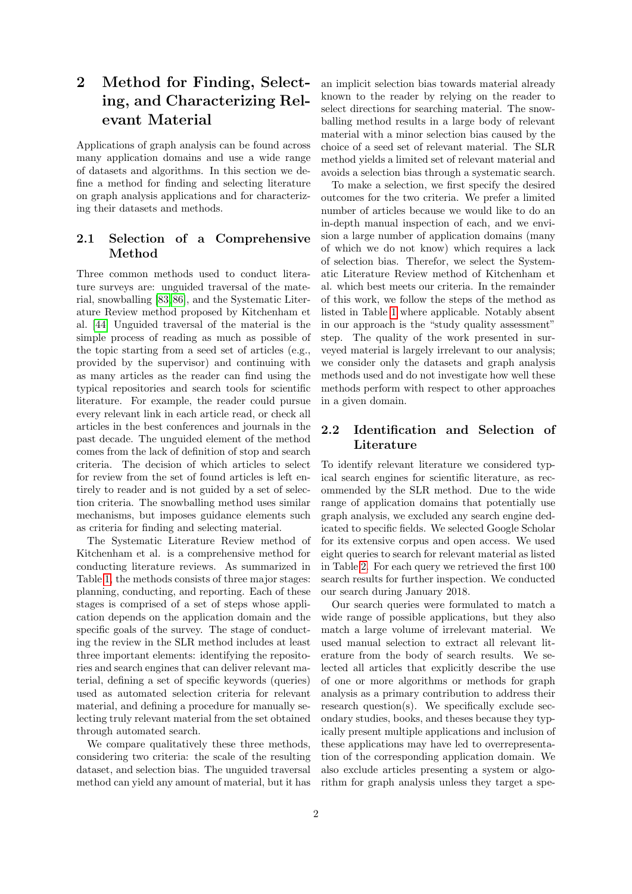# <span id="page-1-0"></span>2 Method for Finding, Selecting, and Characterizing Relevant Material

Applications of graph analysis can be found across many application domains and use a wide range of datasets and algorithms. In this section we define a method for finding and selecting literature on graph analysis applications and for characterizing their datasets and methods.

## <span id="page-1-1"></span>2.1 Selection of a Comprehensive Method

Three common methods used to conduct literature surveys are: unguided traversal of the material, snowballing [\[83,](#page-21-1) [86\]](#page-22-0), and the Systematic Literature Review method proposed by Kitchenham et al. [\[44\]](#page-20-2) Unguided traversal of the material is the simple process of reading as much as possible of the topic starting from a seed set of articles (e.g., provided by the supervisor) and continuing with as many articles as the reader can find using the typical repositories and search tools for scientific literature. For example, the reader could pursue every relevant link in each article read, or check all articles in the best conferences and journals in the past decade. The unguided element of the method comes from the lack of definition of stop and search criteria. The decision of which articles to select for review from the set of found articles is left entirely to reader and is not guided by a set of selection criteria. The snowballing method uses similar mechanisms, but imposes guidance elements such as criteria for finding and selecting material.

The Systematic Literature Review method of Kitchenham et al. is a comprehensive method for conducting literature reviews. As summarized in Table [1,](#page-2-0) the methods consists of three major stages: planning, conducting, and reporting. Each of these stages is comprised of a set of steps whose application depends on the application domain and the specific goals of the survey. The stage of conducting the review in the SLR method includes at least three important elements: identifying the repositories and search engines that can deliver relevant material, defining a set of specific keywords (queries) used as automated selection criteria for relevant material, and defining a procedure for manually selecting truly relevant material from the set obtained through automated search.

We compare qualitatively these three methods, considering two criteria: the scale of the resulting dataset, and selection bias. The unguided traversal method can yield any amount of material, but it has an implicit selection bias towards material already known to the reader by relying on the reader to select directions for searching material. The snowballing method results in a large body of relevant material with a minor selection bias caused by the choice of a seed set of relevant material. The SLR method yields a limited set of relevant material and avoids a selection bias through a systematic search.

To make a selection, we first specify the desired outcomes for the two criteria. We prefer a limited number of articles because we would like to do an in-depth manual inspection of each, and we envision a large number of application domains (many of which we do not know) which requires a lack of selection bias. Therefor, we select the Systematic Literature Review method of Kitchenham et al. which best meets our criteria. In the remainder of this work, we follow the steps of the method as listed in Table [1](#page-2-0) where applicable. Notably absent in our approach is the "study quality assessment" step. The quality of the work presented in surveyed material is largely irrelevant to our analysis; we consider only the datasets and graph analysis methods used and do not investigate how well these methods perform with respect to other approaches in a given domain.

### <span id="page-1-2"></span>2.2 Identification and Selection of Literature

To identify relevant literature we considered typical search engines for scientific literature, as recommended by the SLR method. Due to the wide range of application domains that potentially use graph analysis, we excluded any search engine dedicated to specific fields. We selected Google Scholar for its extensive corpus and open access. We used eight queries to search for relevant material as listed in Table [2.](#page-2-1) For each query we retrieved the first 100 search results for further inspection. We conducted our search during January 2018.

Our search queries were formulated to match a wide range of possible applications, but they also match a large volume of irrelevant material. We used manual selection to extract all relevant literature from the body of search results. We selected all articles that explicitly describe the use of one or more algorithms or methods for graph analysis as a primary contribution to address their research question(s). We specifically exclude secondary studies, books, and theses because they typically present multiple applications and inclusion of these applications may have led to overrepresentation of the corresponding application domain. We also exclude articles presenting a system or algorithm for graph analysis unless they target a spe-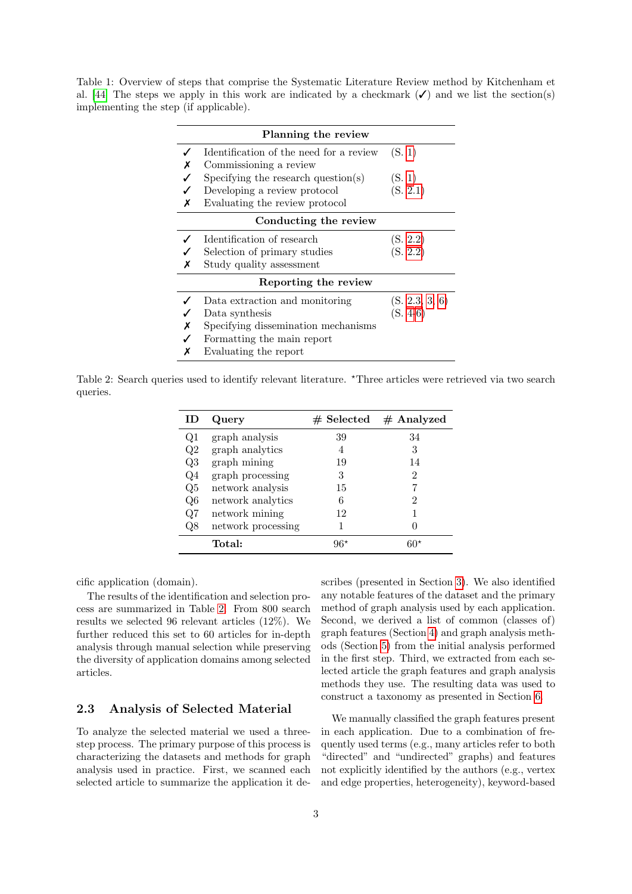<span id="page-2-0"></span>Table 1: Overview of steps that comprise the Systematic Literature Review method by Kitchenham et al. [\[44\]](#page-20-2) The steps we apply in this work are indicated by a checkmark  $(\checkmark)$  and we list the section(s) implementing the step (if applicable).

| Planning the review   |                                         |                |  |  |  |  |  |  |  |
|-----------------------|-----------------------------------------|----------------|--|--|--|--|--|--|--|
|                       | Identification of the need for a review | (S. 1)         |  |  |  |  |  |  |  |
| Х                     | Commissioning a review                  |                |  |  |  |  |  |  |  |
|                       | Specifying the research question(s)     | (S. 1)         |  |  |  |  |  |  |  |
|                       | Developing a review protocol            | (S. 2.1)       |  |  |  |  |  |  |  |
| х                     | Evaluating the review protocol          |                |  |  |  |  |  |  |  |
| Conducting the review |                                         |                |  |  |  |  |  |  |  |
|                       | Identification of research              | (S. 2.2)       |  |  |  |  |  |  |  |
|                       | Selection of primary studies            | (S. 2.2)       |  |  |  |  |  |  |  |
| х                     | Study quality assessment                |                |  |  |  |  |  |  |  |
| Reporting the review  |                                         |                |  |  |  |  |  |  |  |
|                       | Data extraction and monitoring          | (S. 2.3, 3, 6) |  |  |  |  |  |  |  |
|                       | Data synthesis                          | $(S. 4-6)$     |  |  |  |  |  |  |  |
| Х                     | Specifying dissemination mechanisms     |                |  |  |  |  |  |  |  |
|                       | Formatting the main report              |                |  |  |  |  |  |  |  |
| х                     | Evaluating the report                   |                |  |  |  |  |  |  |  |

<span id="page-2-1"></span>Table 2: Search queries used to identify relevant literature. \*Three articles were retrieved via two search queries.

| ID            | Querv              |     | $\#$ Selected $\#$ Analyzed |
|---------------|--------------------|-----|-----------------------------|
| Q1            | graph analysis     | 39  | 34                          |
| $\mathrm{Q}2$ | graph analytics    |     | 3                           |
| Q3            | graph mining       | 19  | 14                          |
| $Q_4$         | graph processing   | 3   | 2                           |
| Q5            | network analysis   | 15  |                             |
| Q6            | network analytics  | 6   | 2                           |
| Q7            | network mining     | 12  |                             |
| Q8            | network processing |     |                             |
|               | Total:             | 96* |                             |

cific application (domain).

The results of the identification and selection process are summarized in Table [2.](#page-2-1) From 800 search results we selected 96 relevant articles (12%). We further reduced this set to 60 articles for in-depth analysis through manual selection while preserving the diversity of application domains among selected articles.

### <span id="page-2-2"></span>2.3 Analysis of Selected Material

To analyze the selected material we used a threestep process. The primary purpose of this process is characterizing the datasets and methods for graph analysis used in practice. First, we scanned each selected article to summarize the application it describes (presented in Section [3\)](#page-3-0). We also identified any notable features of the dataset and the primary method of graph analysis used by each application. Second, we derived a list of common (classes of) graph features (Section [4\)](#page-8-0) and graph analysis methods (Section [5\)](#page-10-0) from the initial analysis performed in the first step. Third, we extracted from each selected article the graph features and graph analysis methods they use. The resulting data was used to construct a taxonomy as presented in Section [6.](#page-13-0)

We manually classified the graph features present in each application. Due to a combination of frequently used terms (e.g., many articles refer to both "directed" and "undirected" graphs) and features not explicitly identified by the authors (e.g., vertex and edge properties, heterogeneity), keyword-based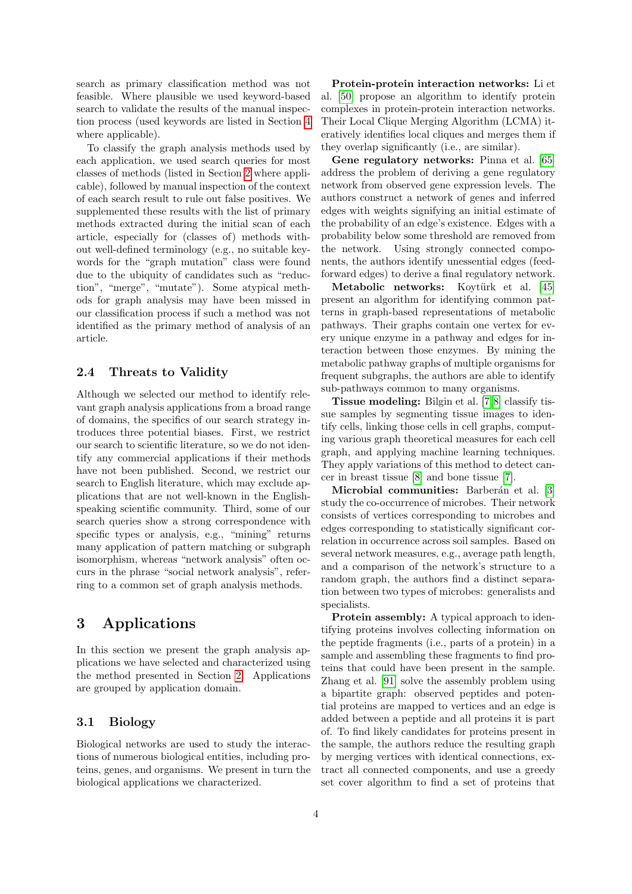search as primary classification method was not feasible. Where plausible we used keyword-based search to validate the results of the manual inspection process (used keywords are listed in Section [4](#page-8-0) where applicable).

To classify the graph analysis methods used by each application, we used search queries for most classes of methods (listed in Section [2](#page-1-0) where applicable), followed by manual inspection of the context of each search result to rule out false positives. We supplemented these results with the list of primary methods extracted during the initial scan of each article, especially for (classes of) methods without well-defined terminology (e.g., no suitable keywords for the "graph mutation" class were found due to the ubiquity of candidates such as "reduction", "merge", "mutate"). Some atypical methods for graph analysis may have been missed in our classification process if such a method was not identified as the primary method of analysis of an article.

#### 2.4 Threats to Validity

Although we selected our method to identify relevant graph analysis applications from a broad range of domains, the specifics of our search strategy introduces three potential biases. First, we restrict our search to scientific literature, so we do not identify any commercial applications if their methods have not been published. Second, we restrict our search to English literature, which may exclude applications that are not well-known in the Englishspeaking scientific community. Third, some of our search queries show a strong correspondence with specific types or analysis, e.g., "mining" returns many application of pattern matching or subgraph isomorphism, whereas "network analysis" often occurs in the phrase "social network analysis", referring to a common set of graph analysis methods.

# <span id="page-3-0"></span>3 Applications

In this section we present the graph analysis applications we have selected and characterized using the method presented in Section [2.](#page-1-0) Applications are grouped by application domain.

#### 3.1 Biology

Biological networks are used to study the interactions of numerous biological entities, including proteins, genes, and organisms. We present in turn the biological applications we characterized.

Protein-protein interaction networks: Li et al. [\[50\]](#page-20-3) propose an algorithm to identify protein complexes in protein-protein interaction networks. Their Local Clique Merging Algorithm (LCMA) iteratively identifies local cliques and merges them if they overlap significantly (i.e., are similar).

Gene regulatory networks: Pinna et al. [\[65\]](#page-21-2) address the problem of deriving a gene regulatory network from observed gene expression levels. The authors construct a network of genes and inferred edges with weights signifying an initial estimate of the probability of an edge's existence. Edges with a probability below some threshold are removed from the network. Using strongly connected components, the authors identify unessential edges (feedforward edges) to derive a final regulatory network.

Metabolic networks: Koytürk et al. [\[45\]](#page-20-4) present an algorithm for identifying common patterns in graph-based representations of metabolic pathways. Their graphs contain one vertex for every unique enzyme in a pathway and edges for interaction between those enzymes. By mining the metabolic pathway graphs of multiple organisms for frequent subgraphs, the authors are able to identify sub-pathways common to many organisms.

Tissue modeling: Bilgin et al. [\[7,](#page-18-7)[8\]](#page-18-8) classify tissue samples by segmenting tissue images to identify cells, linking those cells in cell graphs, computing various graph theoretical measures for each cell graph, and applying machine learning techniques. They apply variations of this method to detect cancer in breast tissue [\[8\]](#page-18-8) and bone tissue [\[7\]](#page-18-7).

Microbial communities: Barberán et al. [\[3\]](#page-17-1) study the co-occurrence of microbes. Their network consists of vertices corresponding to microbes and edges corresponding to statistically significant correlation in occurrence across soil samples. Based on several network measures, e.g., average path length, and a comparison of the network's structure to a random graph, the authors find a distinct separation between two types of microbes: generalists and specialists.

Protein assembly: A typical approach to identifying proteins involves collecting information on the peptide fragments (i.e., parts of a protein) in a sample and assembling these fragments to find proteins that could have been present in the sample. Zhang et al. [\[91\]](#page-22-1) solve the assembly problem using a bipartite graph: observed peptides and potential proteins are mapped to vertices and an edge is added between a peptide and all proteins it is part of. To find likely candidates for proteins present in the sample, the authors reduce the resulting graph by merging vertices with identical connections, extract all connected components, and use a greedy set cover algorithm to find a set of proteins that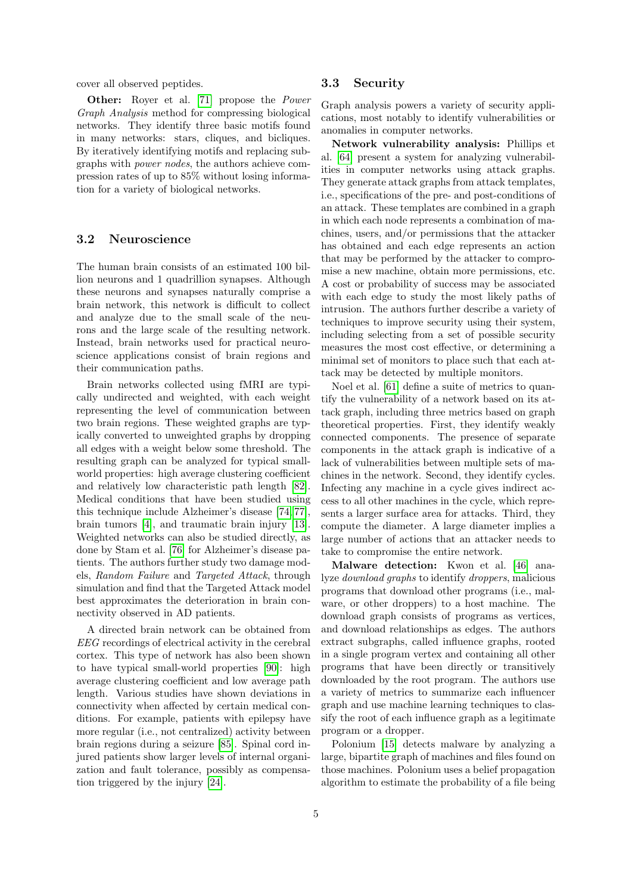cover all observed peptides.

Other: Royer et al. [\[71\]](#page-21-3) propose the Power Graph Analysis method for compressing biological networks. They identify three basic motifs found in many networks: stars, cliques, and bicliques. By iteratively identifying motifs and replacing subgraphs with power nodes, the authors achieve compression rates of up to 85% without losing information for a variety of biological networks.

### 3.2 Neuroscience

The human brain consists of an estimated 100 billion neurons and 1 quadrillion synapses. Although these neurons and synapses naturally comprise a brain network, this network is difficult to collect and analyze due to the small scale of the neurons and the large scale of the resulting network. Instead, brain networks used for practical neuroscience applications consist of brain regions and their communication paths.

Brain networks collected using fMRI are typically undirected and weighted, with each weight representing the level of communication between two brain regions. These weighted graphs are typically converted to unweighted graphs by dropping all edges with a weight below some threshold. The resulting graph can be analyzed for typical smallworld properties: high average clustering coefficient and relatively low characteristic path length [\[82\]](#page-21-4). Medical conditions that have been studied using this technique include Alzheimer's disease [\[74,](#page-21-5) [77\]](#page-21-6), brain tumors [\[4\]](#page-17-2), and traumatic brain injury [\[13\]](#page-18-9). Weighted networks can also be studied directly, as done by Stam et al. [\[76\]](#page-21-7) for Alzheimer's disease patients. The authors further study two damage models, Random Failure and Targeted Attack, through simulation and find that the Targeted Attack model best approximates the deterioration in brain connectivity observed in AD patients.

A directed brain network can be obtained from EEG recordings of electrical activity in the cerebral cortex. This type of network has also been shown to have typical small-world properties [\[90\]](#page-22-2): high average clustering coefficient and low average path length. Various studies have shown deviations in connectivity when affected by certain medical conditions. For example, patients with epilepsy have more regular (i.e., not centralized) activity between brain regions during a seizure [\[85\]](#page-21-8). Spinal cord injured patients show larger levels of internal organization and fault tolerance, possibly as compensation triggered by the injury [\[24\]](#page-18-10).

#### 3.3 Security

Graph analysis powers a variety of security applications, most notably to identify vulnerabilities or anomalies in computer networks.

Network vulnerability analysis: Phillips et al. [\[64\]](#page-20-5) present a system for analyzing vulnerabilities in computer networks using attack graphs. They generate attack graphs from attack templates, i.e., specifications of the pre- and post-conditions of an attack. These templates are combined in a graph in which each node represents a combination of machines, users, and/or permissions that the attacker has obtained and each edge represents an action that may be performed by the attacker to compromise a new machine, obtain more permissions, etc. A cost or probability of success may be associated with each edge to study the most likely paths of intrusion. The authors further describe a variety of techniques to improve security using their system, including selecting from a set of possible security measures the most cost effective, or determining a minimal set of monitors to place such that each attack may be detected by multiple monitors.

Noel et al. [\[61\]](#page-20-6) define a suite of metrics to quantify the vulnerability of a network based on its attack graph, including three metrics based on graph theoretical properties. First, they identify weakly connected components. The presence of separate components in the attack graph is indicative of a lack of vulnerabilities between multiple sets of machines in the network. Second, they identify cycles. Infecting any machine in a cycle gives indirect access to all other machines in the cycle, which represents a larger surface area for attacks. Third, they compute the diameter. A large diameter implies a large number of actions that an attacker needs to take to compromise the entire network.

Malware detection: Kwon et al. [\[46\]](#page-20-7) analyze download graphs to identify droppers, malicious programs that download other programs (i.e., malware, or other droppers) to a host machine. The download graph consists of programs as vertices, and download relationships as edges. The authors extract subgraphs, called influence graphs, rooted in a single program vertex and containing all other programs that have been directly or transitively downloaded by the root program. The authors use a variety of metrics to summarize each influencer graph and use machine learning techniques to classify the root of each influence graph as a legitimate program or a dropper.

Polonium [\[15\]](#page-18-11) detects malware by analyzing a large, bipartite graph of machines and files found on those machines. Polonium uses a belief propagation algorithm to estimate the probability of a file being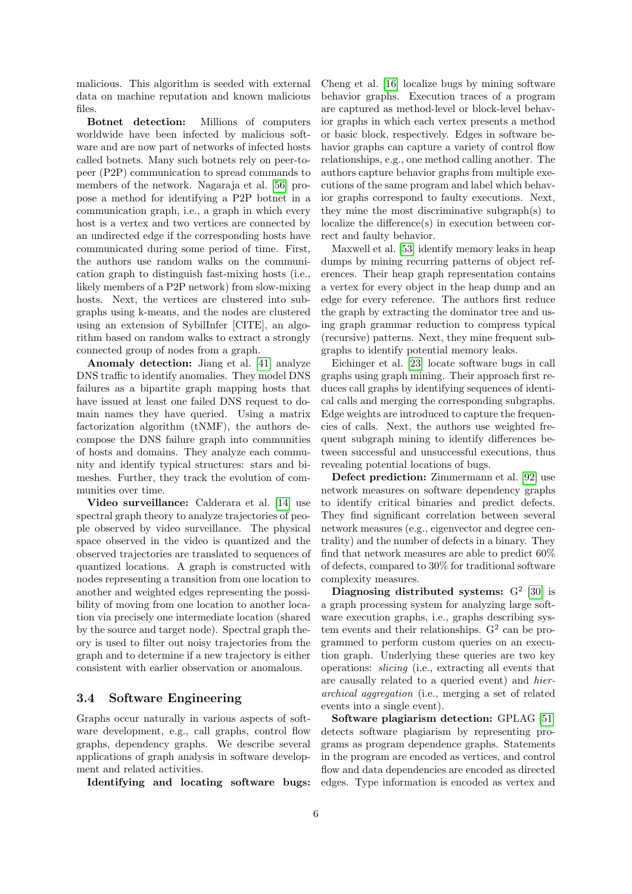malicious. This algorithm is seeded with external data on machine reputation and known malicious files.

Botnet detection: Millions of computers worldwide have been infected by malicious software and are now part of networks of infected hosts called botnets. Many such botnets rely on peer-topeer (P2P) communication to spread commands to members of the network. Nagaraja et al. [\[56\]](#page-20-8) propose a method for identifying a P2P botnet in a communication graph, i.e., a graph in which every host is a vertex and two vertices are connected by an undirected edge if the corresponding hosts have communicated during some period of time. First, the authors use random walks on the communication graph to distinguish fast-mixing hosts (i.e., likely members of a P2P network) from slow-mixing hosts. Next, the vertices are clustered into subgraphs using k-means, and the nodes are clustered using an extension of SybilInfer [CITE], an algorithm based on random walks to extract a strongly connected group of nodes from a graph.

Anomaly detection: Jiang et al. [\[41\]](#page-19-3) analyze DNS traffic to identify anomalies. They model DNS failures as a bipartite graph mapping hosts that have issued at least one failed DNS request to domain names they have queried. Using a matrix factorization algorithm (tNMF), the authors decompose the DNS failure graph into communities of hosts and domains. They analyze each community and identify typical structures: stars and bimeshes. Further, they track the evolution of communities over time.

Video surveillance: Calderara et al. [\[14\]](#page-18-12) use spectral graph theory to analyze trajectories of people observed by video surveillance. The physical space observed in the video is quantized and the observed trajectories are translated to sequences of quantized locations. A graph is constructed with nodes representing a transition from one location to another and weighted edges representing the possibility of moving from one location to another location via precisely one intermediate location (shared by the source and target node). Spectral graph theory is used to filter out noisy trajectories from the graph and to determine if a new trajectory is either consistent with earlier observation or anomalous.

#### 3.4 Software Engineering

Graphs occur naturally in various aspects of software development, e.g., call graphs, control flow graphs, dependency graphs. We describe several applications of graph analysis in software development and related activities.

Identifying and locating software bugs:

Cheng et al. [\[16\]](#page-18-13) localize bugs by mining software behavior graphs. Execution traces of a program are captured as method-level or block-level behavior graphs in which each vertex presents a method or basic block, respectively. Edges in software behavior graphs can capture a variety of control flow relationships, e.g., one method calling another. The authors capture behavior graphs from multiple executions of the same program and label which behavior graphs correspond to faulty executions. Next, they mine the most discriminative subgraph(s) to localize the difference(s) in execution between correct and faulty behavior.

Maxwell et al. [\[53\]](#page-20-9) identify memory leaks in heap dumps by mining recurring patterns of object references. Their heap graph representation contains a vertex for every object in the heap dump and an edge for every reference. The authors first reduce the graph by extracting the dominator tree and using graph grammar reduction to compress typical (recursive) patterns. Next, they mine frequent subgraphs to identify potential memory leaks.

Eichinger et al. [\[23\]](#page-18-14) locate software bugs in call graphs using graph mining. Their approach first reduces call graphs by identifying sequences of identical calls and merging the corresponding subgraphs. Edge weights are introduced to capture the frequencies of calls. Next, the authors use weighted frequent subgraph mining to identify differences between successful and unsuccessful executions, thus revealing potential locations of bugs.

Defect prediction: Zimmermann et al. [\[92\]](#page-22-3) use network measures on software dependency graphs to identify critical binaries and predict defects. They find significant correlation between several network measures (e.g., eigenvector and degree centrality) and the number of defects in a binary. They find that network measures are able to predict 60% of defects, compared to 30% for traditional software complexity measures.

Diagnosing distributed systems:  $G^2$  [\[30\]](#page-19-4) is a graph processing system for analyzing large software execution graphs, i.e., graphs describing sys $tem$  events and their relationships.  $G<sup>2</sup>$  can be programmed to perform custom queries on an execution graph. Underlying these queries are two key operations: slicing (i.e., extracting all events that are causally related to a queried event) and hierarchical aggregation (i.e., merging a set of related events into a single event).

Software plagiarism detection: GPLAG [\[51\]](#page-20-10) detects software plagiarism by representing programs as program dependence graphs. Statements in the program are encoded as vertices, and control flow and data dependencies are encoded as directed edges. Type information is encoded as vertex and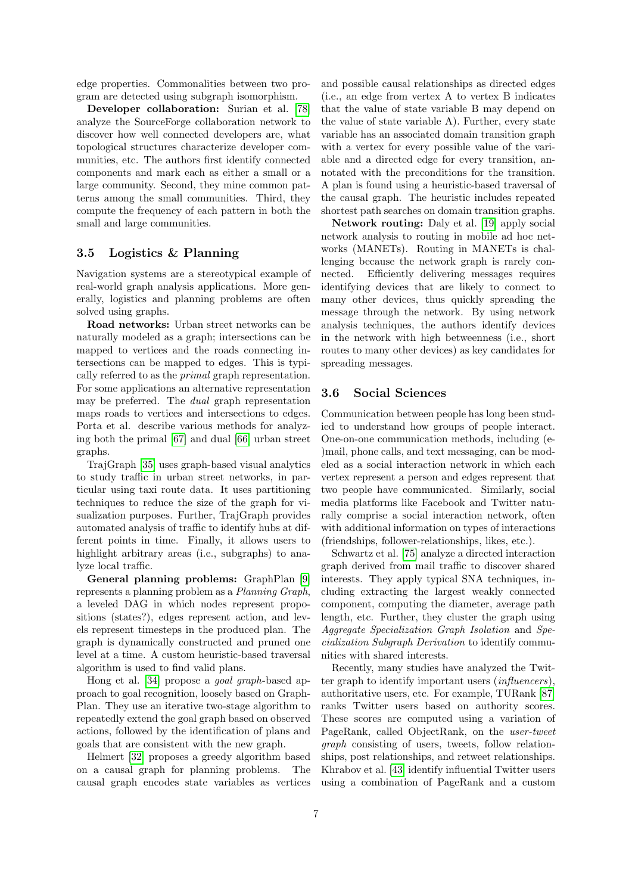edge properties. Commonalities between two program are detected using subgraph isomorphism.

Developer collaboration: Surian et al. [\[78\]](#page-21-9) analyze the SourceForge collaboration network to discover how well connected developers are, what topological structures characterize developer communities, etc. The authors first identify connected components and mark each as either a small or a large community. Second, they mine common patterns among the small communities. Third, they compute the frequency of each pattern in both the small and large communities.

### 3.5 Logistics & Planning

Navigation systems are a stereotypical example of real-world graph analysis applications. More generally, logistics and planning problems are often solved using graphs.

Road networks: Urban street networks can be naturally modeled as a graph; intersections can be mapped to vertices and the roads connecting intersections can be mapped to edges. This is typically referred to as the primal graph representation. For some applications an alternative representation may be preferred. The dual graph representation maps roads to vertices and intersections to edges. Porta et al. describe various methods for analyzing both the primal [\[67\]](#page-21-10) and dual [\[66\]](#page-21-11) urban street graphs.

TrajGraph [\[35\]](#page-19-5) uses graph-based visual analytics to study traffic in urban street networks, in particular using taxi route data. It uses partitioning techniques to reduce the size of the graph for visualization purposes. Further, TrajGraph provides automated analysis of traffic to identify hubs at different points in time. Finally, it allows users to highlight arbitrary areas (i.e., subgraphs) to analyze local traffic.

General planning problems: GraphPlan [\[9\]](#page-18-15) represents a planning problem as a Planning Graph, a leveled DAG in which nodes represent propositions (states?), edges represent action, and levels represent timesteps in the produced plan. The graph is dynamically constructed and pruned one level at a time. A custom heuristic-based traversal algorithm is used to find valid plans.

Hong et al. [\[34\]](#page-19-6) propose a goal graph-based approach to goal recognition, loosely based on Graph-Plan. They use an iterative two-stage algorithm to repeatedly extend the goal graph based on observed actions, followed by the identification of plans and goals that are consistent with the new graph.

Helmert [\[32\]](#page-19-7) proposes a greedy algorithm based on a causal graph for planning problems. The causal graph encodes state variables as vertices and possible causal relationships as directed edges (i.e., an edge from vertex A to vertex B indicates that the value of state variable B may depend on the value of state variable A). Further, every state variable has an associated domain transition graph with a vertex for every possible value of the variable and a directed edge for every transition, annotated with the preconditions for the transition. A plan is found using a heuristic-based traversal of the causal graph. The heuristic includes repeated shortest path searches on domain transition graphs.

Network routing: Daly et al. [\[19\]](#page-18-16) apply social network analysis to routing in mobile ad hoc networks (MANETs). Routing in MANETs is challenging because the network graph is rarely connected. Efficiently delivering messages requires identifying devices that are likely to connect to many other devices, thus quickly spreading the message through the network. By using network analysis techniques, the authors identify devices in the network with high betweenness (i.e., short routes to many other devices) as key candidates for spreading messages.

#### 3.6 Social Sciences

Communication between people has long been studied to understand how groups of people interact. One-on-one communication methods, including (e- )mail, phone calls, and text messaging, can be modeled as a social interaction network in which each vertex represent a person and edges represent that two people have communicated. Similarly, social media platforms like Facebook and Twitter naturally comprise a social interaction network, often with additional information on types of interactions (friendships, follower-relationships, likes, etc.).

Schwartz et al. [\[75\]](#page-21-12) analyze a directed interaction graph derived from mail traffic to discover shared interests. They apply typical SNA techniques, including extracting the largest weakly connected component, computing the diameter, average path length, etc. Further, they cluster the graph using Aggregate Specialization Graph Isolation and Specialization Subgraph Derivation to identify communities with shared interests.

Recently, many studies have analyzed the Twitter graph to identify important users (influencers), authoritative users, etc. For example, TURank [\[87\]](#page-22-4) ranks Twitter users based on authority scores. These scores are computed using a variation of PageRank, called ObjectRank, on the user-tweet graph consisting of users, tweets, follow relationships, post relationships, and retweet relationships. Khrabov et al. [\[43\]](#page-19-8) identify influential Twitter users using a combination of PageRank and a custom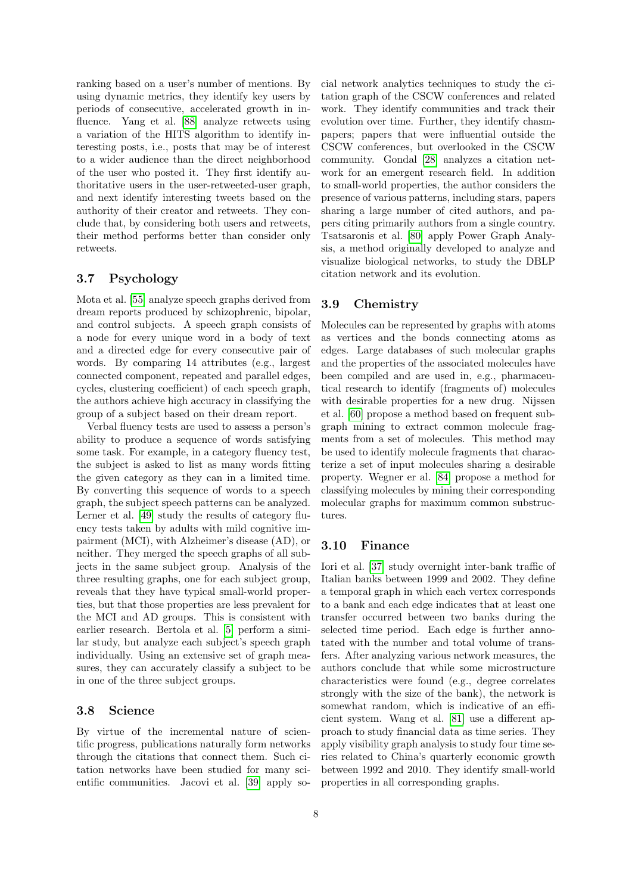ranking based on a user's number of mentions. By using dynamic metrics, they identify key users by periods of consecutive, accelerated growth in influence. Yang et al. [\[88\]](#page-22-5) analyze retweets using a variation of the HITS algorithm to identify interesting posts, i.e., posts that may be of interest to a wider audience than the direct neighborhood of the user who posted it. They first identify authoritative users in the user-retweeted-user graph, and next identify interesting tweets based on the authority of their creator and retweets. They conclude that, by considering both users and retweets, their method performs better than consider only retweets.

#### 3.7 Psychology

Mota et al. [\[55\]](#page-20-11) analyze speech graphs derived from dream reports produced by schizophrenic, bipolar, and control subjects. A speech graph consists of a node for every unique word in a body of text and a directed edge for every consecutive pair of words. By comparing 14 attributes (e.g., largest connected component, repeated and parallel edges, cycles, clustering coefficient) of each speech graph, the authors achieve high accuracy in classifying the group of a subject based on their dream report.

Verbal fluency tests are used to assess a person's ability to produce a sequence of words satisfying some task. For example, in a category fluency test, the subject is asked to list as many words fitting the given category as they can in a limited time. By converting this sequence of words to a speech graph, the subject speech patterns can be analyzed. Lerner et al. [\[49\]](#page-20-12) study the results of category fluency tests taken by adults with mild cognitive impairment (MCI), with Alzheimer's disease (AD), or neither. They merged the speech graphs of all subjects in the same subject group. Analysis of the three resulting graphs, one for each subject group, reveals that they have typical small-world properties, but that those properties are less prevalent for the MCI and AD groups. This is consistent with earlier research. Bertola et al. [\[5\]](#page-17-3) perform a similar study, but analyze each subject's speech graph individually. Using an extensive set of graph measures, they can accurately classify a subject to be in one of the three subject groups.

#### 3.8 Science

By virtue of the incremental nature of scientific progress, publications naturally form networks through the citations that connect them. Such citation networks have been studied for many scientific communities. Jacovi et al. [\[39\]](#page-19-9) apply social network analytics techniques to study the citation graph of the CSCW conferences and related work. They identify communities and track their evolution over time. Further, they identify chasmpapers; papers that were influential outside the CSCW conferences, but overlooked in the CSCW community. Gondal [\[28\]](#page-19-10) analyzes a citation network for an emergent research field. In addition to small-world properties, the author considers the presence of various patterns, including stars, papers sharing a large number of cited authors, and papers citing primarily authors from a single country. Tsatsaronis et al. [\[80\]](#page-21-13) apply Power Graph Analysis, a method originally developed to analyze and visualize biological networks, to study the DBLP citation network and its evolution.

#### 3.9 Chemistry

Molecules can be represented by graphs with atoms as vertices and the bonds connecting atoms as edges. Large databases of such molecular graphs and the properties of the associated molecules have been compiled and are used in, e.g., pharmaceutical research to identify (fragments of) molecules with desirable properties for a new drug. Nijssen et al. [\[60\]](#page-20-13) propose a method based on frequent subgraph mining to extract common molecule fragments from a set of molecules. This method may be used to identify molecule fragments that characterize a set of input molecules sharing a desirable property. Wegner er al. [\[84\]](#page-21-14) propose a method for classifying molecules by mining their corresponding molecular graphs for maximum common substructures.

#### 3.10 Finance

Iori et al. [\[37\]](#page-19-11) study overnight inter-bank traffic of Italian banks between 1999 and 2002. They define a temporal graph in which each vertex corresponds to a bank and each edge indicates that at least one transfer occurred between two banks during the selected time period. Each edge is further annotated with the number and total volume of transfers. After analyzing various network measures, the authors conclude that while some microstructure characteristics were found (e.g., degree correlates strongly with the size of the bank), the network is somewhat random, which is indicative of an efficient system. Wang et al. [\[81\]](#page-21-15) use a different approach to study financial data as time series. They apply visibility graph analysis to study four time series related to China's quarterly economic growth between 1992 and 2010. They identify small-world properties in all corresponding graphs.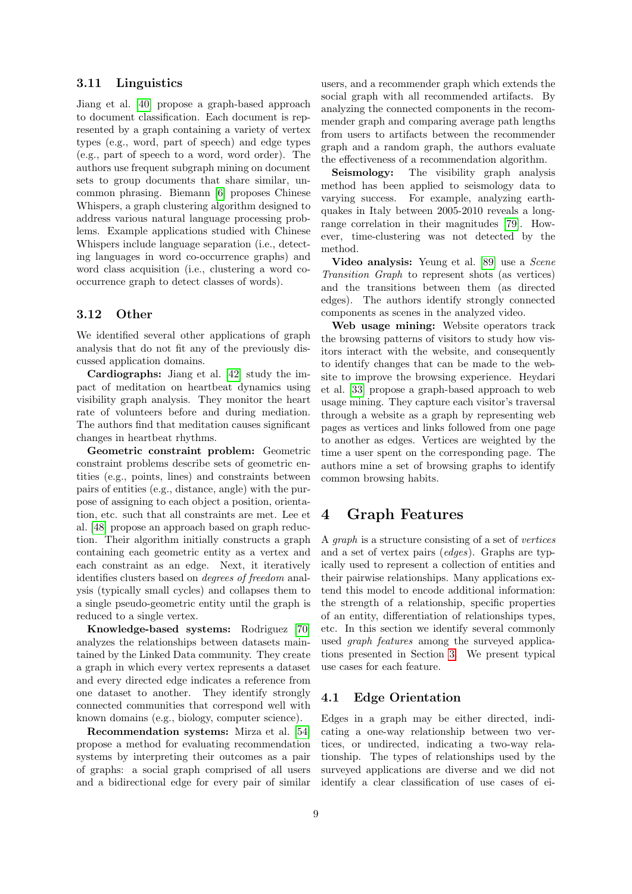#### 3.11 Linguistics

Jiang et al. [\[40\]](#page-19-12) propose a graph-based approach to document classification. Each document is represented by a graph containing a variety of vertex types (e.g., word, part of speech) and edge types (e.g., part of speech to a word, word order). The authors use frequent subgraph mining on document sets to group documents that share similar, uncommon phrasing. Biemann [\[6\]](#page-17-4) proposes Chinese Whispers, a graph clustering algorithm designed to address various natural language processing problems. Example applications studied with Chinese Whispers include language separation (i.e., detecting languages in word co-occurrence graphs) and word class acquisition (i.e., clustering a word cooccurrence graph to detect classes of words).

#### 3.12 Other

We identified several other applications of graph analysis that do not fit any of the previously discussed application domains.

Cardiographs: Jiang et al. [\[42\]](#page-19-13) study the impact of meditation on heartbeat dynamics using visibility graph analysis. They monitor the heart rate of volunteers before and during mediation. The authors find that meditation causes significant changes in heartbeat rhythms.

Geometric constraint problem: Geometric constraint problems describe sets of geometric entities (e.g., points, lines) and constraints between pairs of entities (e.g., distance, angle) with the purpose of assigning to each object a position, orientation, etc. such that all constraints are met. Lee et al. [\[48\]](#page-20-14) propose an approach based on graph reduction. Their algorithm initially constructs a graph containing each geometric entity as a vertex and each constraint as an edge. Next, it iteratively identifies clusters based on degrees of freedom analysis (typically small cycles) and collapses them to a single pseudo-geometric entity until the graph is reduced to a single vertex.

Knowledge-based systems: Rodriguez [\[70\]](#page-21-16) analyzes the relationships between datasets maintained by the Linked Data community. They create a graph in which every vertex represents a dataset and every directed edge indicates a reference from one dataset to another. They identify strongly connected communities that correspond well with known domains (e.g., biology, computer science).

Recommendation systems: Mirza et al. [\[54\]](#page-20-15) propose a method for evaluating recommendation systems by interpreting their outcomes as a pair of graphs: a social graph comprised of all users and a bidirectional edge for every pair of similar users, and a recommender graph which extends the social graph with all recommended artifacts. By analyzing the connected components in the recommender graph and comparing average path lengths from users to artifacts between the recommender graph and a random graph, the authors evaluate the effectiveness of a recommendation algorithm.

Seismology: The visibility graph analysis method has been applied to seismology data to varying success. For example, analyzing earthquakes in Italy between 2005-2010 reveals a longrange correlation in their magnitudes [\[79\]](#page-21-17). However, time-clustering was not detected by the method.

Video analysis: Yeung et al. [\[89\]](#page-22-6) use a *Scene* Transition Graph to represent shots (as vertices) and the transitions between them (as directed edges). The authors identify strongly connected components as scenes in the analyzed video.

Web usage mining: Website operators track the browsing patterns of visitors to study how visitors interact with the website, and consequently to identify changes that can be made to the website to improve the browsing experience. Heydari et al. [\[33\]](#page-19-14) propose a graph-based approach to web usage mining. They capture each visitor's traversal through a website as a graph by representing web pages as vertices and links followed from one page to another as edges. Vertices are weighted by the time a user spent on the corresponding page. The authors mine a set of browsing graphs to identify common browsing habits.

# <span id="page-8-0"></span>4 Graph Features

A graph is a structure consisting of a set of vertices and a set of vertex pairs (edges). Graphs are typically used to represent a collection of entities and their pairwise relationships. Many applications extend this model to encode additional information: the strength of a relationship, specific properties of an entity, differentiation of relationships types, etc. In this section we identify several commonly used graph features among the surveyed applications presented in Section [3.](#page-3-0) We present typical use cases for each feature.

#### 4.1 Edge Orientation

Edges in a graph may be either directed, indicating a one-way relationship between two vertices, or undirected, indicating a two-way relationship. The types of relationships used by the surveyed applications are diverse and we did not identify a clear classification of use cases of ei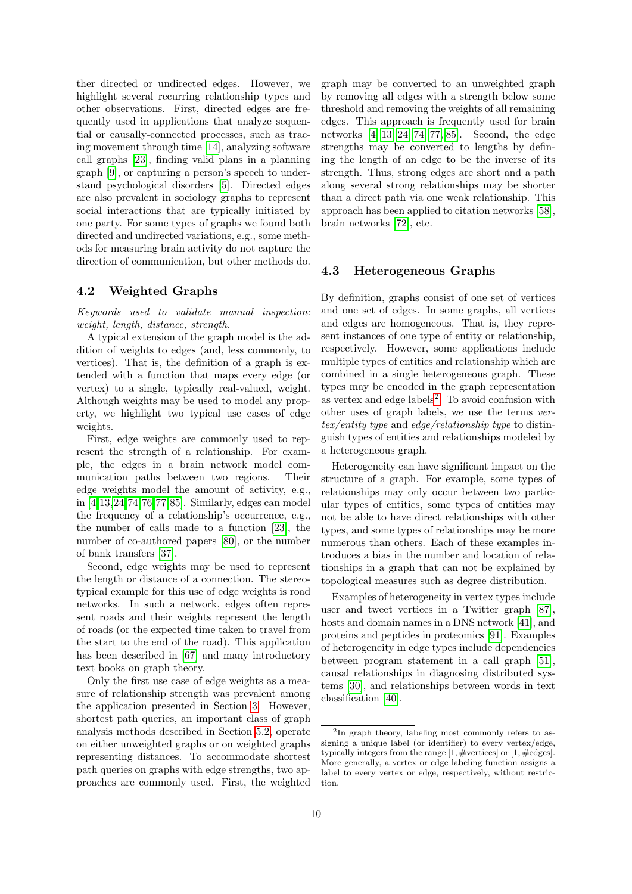ther directed or undirected edges. However, we highlight several recurring relationship types and other observations. First, directed edges are frequently used in applications that analyze sequential or causally-connected processes, such as tracing movement through time [\[14\]](#page-18-12), analyzing software call graphs [\[23\]](#page-18-14), finding valid plans in a planning graph [\[9\]](#page-18-15), or capturing a person's speech to understand psychological disorders [\[5\]](#page-17-3). Directed edges are also prevalent in sociology graphs to represent social interactions that are typically initiated by one party. For some types of graphs we found both directed and undirected variations, e.g., some methods for measuring brain activity do not capture the direction of communication, but other methods do.

#### 4.2 Weighted Graphs

Keywords used to validate manual inspection: weight, length, distance, strength.

A typical extension of the graph model is the addition of weights to edges (and, less commonly, to vertices). That is, the definition of a graph is extended with a function that maps every edge (or vertex) to a single, typically real-valued, weight. Although weights may be used to model any property, we highlight two typical use cases of edge weights.

First, edge weights are commonly used to represent the strength of a relationship. For example, the edges in a brain network model communication paths between two regions. Their edge weights model the amount of activity, e.g., in [\[4,](#page-17-2)[13,](#page-18-9)[24,](#page-18-10)[74,](#page-21-5)[76,](#page-21-7)[77,](#page-21-6)[85\]](#page-21-8). Similarly, edges can model the frequency of a relationship's occurrence, e.g., the number of calls made to a function [\[23\]](#page-18-14), the number of co-authored papers [\[80\]](#page-21-13), or the number of bank transfers [\[37\]](#page-19-11).

Second, edge weights may be used to represent the length or distance of a connection. The stereotypical example for this use of edge weights is road networks. In such a network, edges often represent roads and their weights represent the length of roads (or the expected time taken to travel from the start to the end of the road). This application has been described in [\[67\]](#page-21-10) and many introductory text books on graph theory.

Only the first use case of edge weights as a measure of relationship strength was prevalent among the application presented in Section [3.](#page-3-0) However, shortest path queries, an important class of graph analysis methods described in Section [5.2,](#page-11-0) operate on either unweighted graphs or on weighted graphs representing distances. To accommodate shortest path queries on graphs with edge strengths, two approaches are commonly used. First, the weighted graph may be converted to an unweighted graph by removing all edges with a strength below some threshold and removing the weights of all remaining edges. This approach is frequently used for brain networks [\[4,](#page-17-2) [13,](#page-18-9) [24,](#page-18-10) [74,](#page-21-5) [77,](#page-21-6) [85\]](#page-21-8). Second, the edge strengths may be converted to lengths by defining the length of an edge to be the inverse of its strength. Thus, strong edges are short and a path along several strong relationships may be shorter than a direct path via one weak relationship. This approach has been applied to citation networks [\[58\]](#page-20-16), brain networks [\[72\]](#page-21-18), etc.

#### 4.3 Heterogeneous Graphs

By definition, graphs consist of one set of vertices and one set of edges. In some graphs, all vertices and edges are homogeneous. That is, they represent instances of one type of entity or relationship, respectively. However, some applications include multiple types of entities and relationship which are combined in a single heterogeneous graph. These types may be encoded in the graph representation as vertex and edge labels<sup>[2](#page-9-0)</sup>. To avoid confusion with other uses of graph labels, we use the terms vertex/entity type and edge/relationship type to distinguish types of entities and relationships modeled by a heterogeneous graph.

Heterogeneity can have significant impact on the structure of a graph. For example, some types of relationships may only occur between two particular types of entities, some types of entities may not be able to have direct relationships with other types, and some types of relationships may be more numerous than others. Each of these examples introduces a bias in the number and location of relationships in a graph that can not be explained by topological measures such as degree distribution.

Examples of heterogeneity in vertex types include user and tweet vertices in a Twitter graph [\[87\]](#page-22-4), hosts and domain names in a DNS network [\[41\]](#page-19-3), and proteins and peptides in proteomics [\[91\]](#page-22-1). Examples of heterogeneity in edge types include dependencies between program statement in a call graph [\[51\]](#page-20-10), causal relationships in diagnosing distributed systems [\[30\]](#page-19-4), and relationships between words in text classification [\[40\]](#page-19-12).

<span id="page-9-0"></span><sup>2</sup> In graph theory, labeling most commonly refers to assigning a unique label (or identifier) to every vertex/edge, typically integers from the range  $[1, \# \text{vertices}]$  or  $[1, \# \text{edges}]$ . More generally, a vertex or edge labeling function assigns a label to every vertex or edge, respectively, without restriction.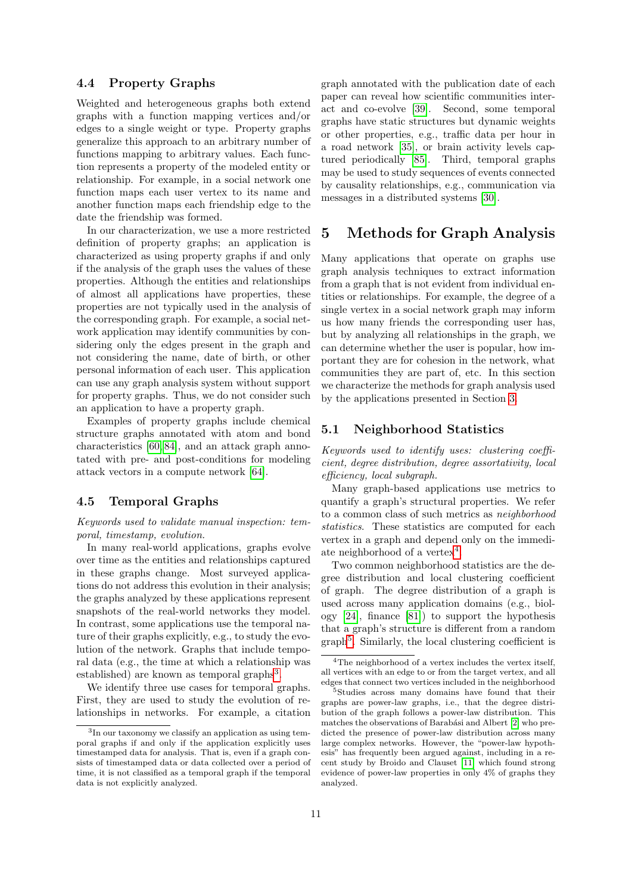#### 4.4 Property Graphs

Weighted and heterogeneous graphs both extend graphs with a function mapping vertices and/or edges to a single weight or type. Property graphs generalize this approach to an arbitrary number of functions mapping to arbitrary values. Each function represents a property of the modeled entity or relationship. For example, in a social network one function maps each user vertex to its name and another function maps each friendship edge to the date the friendship was formed.

In our characterization, we use a more restricted definition of property graphs; an application is characterized as using property graphs if and only if the analysis of the graph uses the values of these properties. Although the entities and relationships of almost all applications have properties, these properties are not typically used in the analysis of the corresponding graph. For example, a social network application may identify communities by considering only the edges present in the graph and not considering the name, date of birth, or other personal information of each user. This application can use any graph analysis system without support for property graphs. Thus, we do not consider such an application to have a property graph.

Examples of property graphs include chemical structure graphs annotated with atom and bond characteristics [\[60,](#page-20-13) [84\]](#page-21-14), and an attack graph annotated with pre- and post-conditions for modeling attack vectors in a compute network [\[64\]](#page-20-5).

#### 4.5 Temporal Graphs

Keywords used to validate manual inspection: temporal, timestamp, evolution.

In many real-world applications, graphs evolve over time as the entities and relationships captured in these graphs change. Most surveyed applications do not address this evolution in their analysis; the graphs analyzed by these applications represent snapshots of the real-world networks they model. In contrast, some applications use the temporal nature of their graphs explicitly, e.g., to study the evolution of the network. Graphs that include temporal data (e.g., the time at which a relationship was established) are known as temporal graphs<sup>[3](#page-10-1)</sup>.

We identify three use cases for temporal graphs. First, they are used to study the evolution of relationships in networks. For example, a citation graph annotated with the publication date of each paper can reveal how scientific communities interact and co-evolve [\[39\]](#page-19-9). Second, some temporal graphs have static structures but dynamic weights or other properties, e.g., traffic data per hour in a road network [\[35\]](#page-19-5), or brain activity levels captured periodically [\[85\]](#page-21-8). Third, temporal graphs may be used to study sequences of events connected by causality relationships, e.g., communication via messages in a distributed systems [\[30\]](#page-19-4).

# <span id="page-10-0"></span>5 Methods for Graph Analysis

Many applications that operate on graphs use graph analysis techniques to extract information from a graph that is not evident from individual entities or relationships. For example, the degree of a single vertex in a social network graph may inform us how many friends the corresponding user has, but by analyzing all relationships in the graph, we can determine whether the user is popular, how important they are for cohesion in the network, what communities they are part of, etc. In this section we characterize the methods for graph analysis used by the applications presented in Section [3.](#page-3-0)

#### 5.1 Neighborhood Statistics

Keywords used to identify uses: clustering coefficient, degree distribution, degree assortativity, local efficiency, local subgraph.

Many graph-based applications use metrics to quantify a graph's structural properties. We refer to a common class of such metrics as neighborhood statistics. These statistics are computed for each vertex in a graph and depend only on the immedi-ate neighborhood of a vertex<sup>[4](#page-10-2)</sup>.

Two common neighborhood statistics are the degree distribution and local clustering coefficient of graph. The degree distribution of a graph is used across many application domains (e.g., biology [\[24\]](#page-18-10), finance [\[81\]](#page-21-15)) to support the hypothesis that a graph's structure is different from a random graph[5](#page-10-3) . Similarly, the local clustering coefficient is

<span id="page-10-1"></span><sup>&</sup>lt;sup>3</sup>In our taxonomy we classify an application as using temporal graphs if and only if the application explicitly uses timestamped data for analysis. That is, even if a graph consists of timestamped data or data collected over a period of time, it is not classified as a temporal graph if the temporal data is not explicitly analyzed.

<span id="page-10-2"></span><sup>&</sup>lt;sup>4</sup>The neighborhood of a vertex includes the vertex itself. all vertices with an edge to or from the target vertex, and all edges that connect two vertices included in the neighborhood

<span id="page-10-3"></span><sup>5</sup>Studies across many domains have found that their graphs are power-law graphs, i.e., that the degree distribution of the graph follows a power-law distribution. This matches the observations of Barabási and Albert [\[2\]](#page-17-5) who predicted the presence of power-law distribution across many large complex networks. However, the "power-law hypothesis" has frequently been argued against, including in a recent study by Broido and Clauset [\[11\]](#page-18-17) which found strong evidence of power-law properties in only 4% of graphs they analyzed.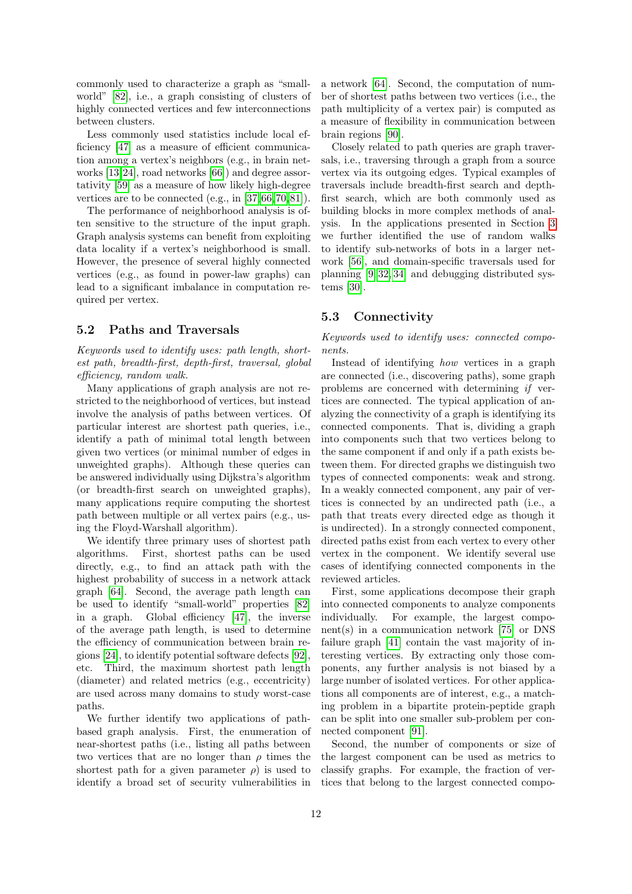commonly used to characterize a graph as "smallworld" [\[82\]](#page-21-4), i.e., a graph consisting of clusters of highly connected vertices and few interconnections between clusters.

Less commonly used statistics include local efficiency [\[47\]](#page-20-17) as a measure of efficient communication among a vertex's neighbors (e.g., in brain networks [\[13,](#page-18-9)[24\]](#page-18-10), road networks [\[66\]](#page-21-11)) and degree assortativity [\[59\]](#page-20-18) as a measure of how likely high-degree vertices are to be connected (e.g., in [\[37,](#page-19-11)[66,](#page-21-11)[70,](#page-21-16)[81\]](#page-21-15)).

The performance of neighborhood analysis is often sensitive to the structure of the input graph. Graph analysis systems can benefit from exploiting data locality if a vertex's neighborhood is small. However, the presence of several highly connected vertices (e.g., as found in power-law graphs) can lead to a significant imbalance in computation required per vertex.

#### <span id="page-11-0"></span>5.2 Paths and Traversals

Keywords used to identify uses: path length, shortest path, breadth-first, depth-first, traversal, global efficiency, random walk.

Many applications of graph analysis are not restricted to the neighborhood of vertices, but instead involve the analysis of paths between vertices. Of particular interest are shortest path queries, i.e., identify a path of minimal total length between given two vertices (or minimal number of edges in unweighted graphs). Although these queries can be answered individually using Dijkstra's algorithm (or breadth-first search on unweighted graphs), many applications require computing the shortest path between multiple or all vertex pairs (e.g., using the Floyd-Warshall algorithm).

We identify three primary uses of shortest path algorithms. First, shortest paths can be used directly, e.g., to find an attack path with the highest probability of success in a network attack graph [\[64\]](#page-20-5). Second, the average path length can be used to identify "small-world" properties [\[82\]](#page-21-4) in a graph. Global efficiency [\[47\]](#page-20-17), the inverse of the average path length, is used to determine the efficiency of communication between brain regions [\[24\]](#page-18-10), to identify potential software defects [\[92\]](#page-22-3), etc. Third, the maximum shortest path length (diameter) and related metrics (e.g., eccentricity) are used across many domains to study worst-case paths.

We further identify two applications of pathbased graph analysis. First, the enumeration of near-shortest paths (i.e., listing all paths between two vertices that are no longer than  $\rho$  times the shortest path for a given parameter  $\rho$ ) is used to identify a broad set of security vulnerabilities in

a network [\[64\]](#page-20-5). Second, the computation of number of shortest paths between two vertices (i.e., the path multiplicity of a vertex pair) is computed as a measure of flexibility in communication between brain regions [\[90\]](#page-22-2).

Closely related to path queries are graph traversals, i.e., traversing through a graph from a source vertex via its outgoing edges. Typical examples of traversals include breadth-first search and depthfirst search, which are both commonly used as building blocks in more complex methods of analysis. In the applications presented in Section [3](#page-3-0) we further identified the use of random walks to identify sub-networks of bots in a larger network [\[56\]](#page-20-8), and domain-specific traversals used for planning [\[9,](#page-18-15) [32,](#page-19-7) [34\]](#page-19-6) and debugging distributed systems [\[30\]](#page-19-4).

#### 5.3 Connectivity

Keywords used to identify uses: connected components.

Instead of identifying how vertices in a graph are connected (i.e., discovering paths), some graph problems are concerned with determining if vertices are connected. The typical application of analyzing the connectivity of a graph is identifying its connected components. That is, dividing a graph into components such that two vertices belong to the same component if and only if a path exists between them. For directed graphs we distinguish two types of connected components: weak and strong. In a weakly connected component, any pair of vertices is connected by an undirected path (i.e., a path that treats every directed edge as though it is undirected). In a strongly connected component, directed paths exist from each vertex to every other vertex in the component. We identify several use cases of identifying connected components in the reviewed articles.

First, some applications decompose their graph into connected components to analyze components individually. For example, the largest component(s) in a communication network  $[75]$  or DNS failure graph [\[41\]](#page-19-3) contain the vast majority of interesting vertices. By extracting only those components, any further analysis is not biased by a large number of isolated vertices. For other applications all components are of interest, e.g., a matching problem in a bipartite protein-peptide graph can be split into one smaller sub-problem per connected component [\[91\]](#page-22-1).

Second, the number of components or size of the largest component can be used as metrics to classify graphs. For example, the fraction of vertices that belong to the largest connected compo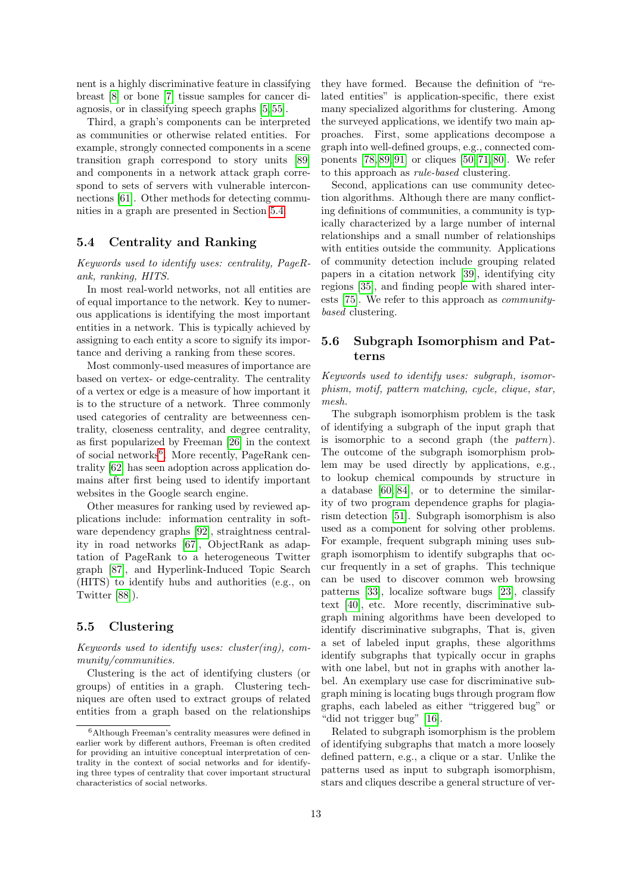nent is a highly discriminative feature in classifying breast [\[8\]](#page-18-8) or bone [\[7\]](#page-18-7) tissue samples for cancer diagnosis, or in classifying speech graphs [\[5,](#page-17-3) [55\]](#page-20-11).

Third, a graph's components can be interpreted as communities or otherwise related entities. For example, strongly connected components in a scene transition graph correspond to story units [\[89\]](#page-22-6) and components in a network attack graph correspond to sets of servers with vulnerable interconnections [\[61\]](#page-20-6). Other methods for detecting communities in a graph are presented in Section [5.4.](#page-12-0)

#### <span id="page-12-0"></span>5.4 Centrality and Ranking

Keywords used to identify uses: centrality, PageRank, ranking, HITS.

In most real-world networks, not all entities are of equal importance to the network. Key to numerous applications is identifying the most important entities in a network. This is typically achieved by assigning to each entity a score to signify its importance and deriving a ranking from these scores.

Most commonly-used measures of importance are based on vertex- or edge-centrality. The centrality of a vertex or edge is a measure of how important it is to the structure of a network. Three commonly used categories of centrality are betweenness centrality, closeness centrality, and degree centrality, as first popularized by Freeman [\[26\]](#page-19-15) in the context of social networks<sup>[6](#page-12-1)</sup>. More recently, PageRank centrality [\[62\]](#page-20-19) has seen adoption across application domains after first being used to identify important websites in the Google search engine.

Other measures for ranking used by reviewed applications include: information centrality in software dependency graphs [\[92\]](#page-22-3), straightness centrality in road networks [\[67\]](#page-21-10), ObjectRank as adaptation of PageRank to a heterogeneous Twitter graph [\[87\]](#page-22-4), and Hyperlink-Induced Topic Search (HITS) to identify hubs and authorities (e.g., on Twitter [\[88\]](#page-22-5)).

#### 5.5 Clustering

Keywords used to identify uses: cluster(ing), community/communities.

Clustering is the act of identifying clusters (or groups) of entities in a graph. Clustering techniques are often used to extract groups of related entities from a graph based on the relationships they have formed. Because the definition of "related entities" is application-specific, there exist many specialized algorithms for clustering. Among the surveyed applications, we identify two main approaches. First, some applications decompose a graph into well-defined groups, e.g., connected components [\[78,](#page-21-9) [89,](#page-22-6) [91\]](#page-22-1) or cliques [\[50,](#page-20-3) [71,](#page-21-3) [80\]](#page-21-13). We refer to this approach as rule-based clustering.

Second, applications can use community detection algorithms. Although there are many conflicting definitions of communities, a community is typically characterized by a large number of internal relationships and a small number of relationships with entities outside the community. Applications of community detection include grouping related papers in a citation network [\[39\]](#page-19-9), identifying city regions [\[35\]](#page-19-5), and finding people with shared interests [\[75\]](#page-21-12). We refer to this approach as communitybased clustering.

#### 5.6 Subgraph Isomorphism and Patterns

Keywords used to identify uses: subgraph, isomorphism, motif, pattern matching, cycle, clique, star, mesh.

The subgraph isomorphism problem is the task of identifying a subgraph of the input graph that is isomorphic to a second graph (the pattern). The outcome of the subgraph isomorphism problem may be used directly by applications, e.g., to lookup chemical compounds by structure in a database [\[60,](#page-20-13) [84\]](#page-21-14), or to determine the similarity of two program dependence graphs for plagiarism detection [\[51\]](#page-20-10). Subgraph isomorphism is also used as a component for solving other problems. For example, frequent subgraph mining uses subgraph isomorphism to identify subgraphs that occur frequently in a set of graphs. This technique can be used to discover common web browsing patterns [\[33\]](#page-19-14), localize software bugs [\[23\]](#page-18-14), classify text [\[40\]](#page-19-12), etc. More recently, discriminative subgraph mining algorithms have been developed to identify discriminative subgraphs, That is, given a set of labeled input graphs, these algorithms identify subgraphs that typically occur in graphs with one label, but not in graphs with another label. An exemplary use case for discriminative subgraph mining is locating bugs through program flow graphs, each labeled as either "triggered bug" or "did not trigger bug" [\[16\]](#page-18-13).

Related to subgraph isomorphism is the problem of identifying subgraphs that match a more loosely defined pattern, e.g., a clique or a star. Unlike the patterns used as input to subgraph isomorphism, stars and cliques describe a general structure of ver-

<span id="page-12-1"></span><sup>6</sup>Although Freeman's centrality measures were defined in earlier work by different authors, Freeman is often credited for providing an intuitive conceptual interpretation of centrality in the context of social networks and for identifying three types of centrality that cover important structural characteristics of social networks.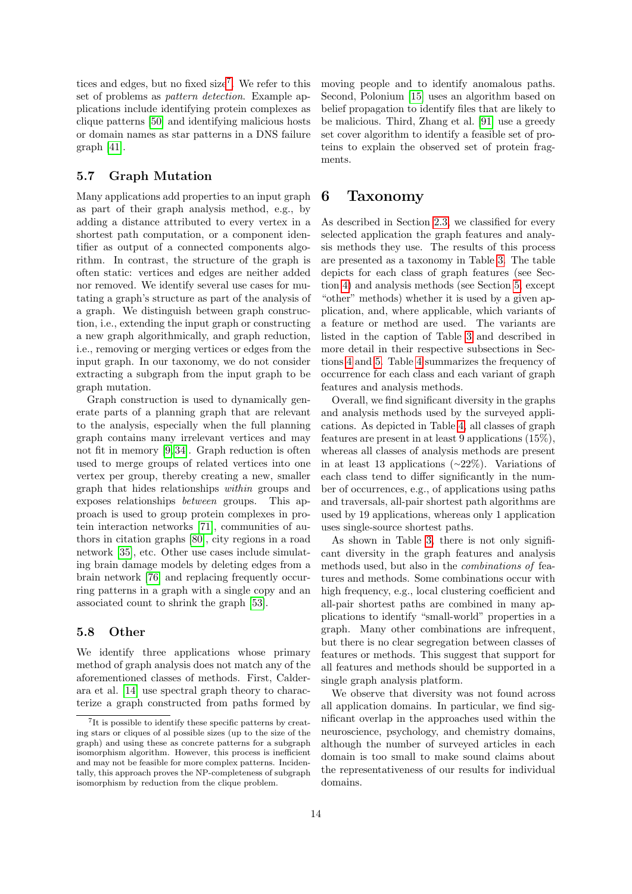tices and edges, but no fixed size<sup>[7](#page-13-1)</sup>. We refer to this set of problems as pattern detection. Example applications include identifying protein complexes as clique patterns [\[50\]](#page-20-3) and identifying malicious hosts or domain names as star patterns in a DNS failure graph [\[41\]](#page-19-3).

#### 5.7 Graph Mutation

Many applications add properties to an input graph as part of their graph analysis method, e.g., by adding a distance attributed to every vertex in a shortest path computation, or a component identifier as output of a connected components algorithm. In contrast, the structure of the graph is often static: vertices and edges are neither added nor removed. We identify several use cases for mutating a graph's structure as part of the analysis of a graph. We distinguish between graph construction, i.e., extending the input graph or constructing a new graph algorithmically, and graph reduction, i.e., removing or merging vertices or edges from the input graph. In our taxonomy, we do not consider extracting a subgraph from the input graph to be graph mutation.

Graph construction is used to dynamically generate parts of a planning graph that are relevant to the analysis, especially when the full planning graph contains many irrelevant vertices and may not fit in memory [\[9,](#page-18-15) [34\]](#page-19-6). Graph reduction is often used to merge groups of related vertices into one vertex per group, thereby creating a new, smaller graph that hides relationships within groups and exposes relationships between groups. This approach is used to group protein complexes in protein interaction networks [\[71\]](#page-21-3), communities of authors in citation graphs [\[80\]](#page-21-13), city regions in a road network [\[35\]](#page-19-5), etc. Other use cases include simulating brain damage models by deleting edges from a brain network [\[76\]](#page-21-7) and replacing frequently occurring patterns in a graph with a single copy and an associated count to shrink the graph [\[53\]](#page-20-9).

### <span id="page-13-2"></span>5.8 Other

We identify three applications whose primary method of graph analysis does not match any of the aforementioned classes of methods. First, Calderara et al. [\[14\]](#page-18-12) use spectral graph theory to characterize a graph constructed from paths formed by

moving people and to identify anomalous paths. Second, Polonium [\[15\]](#page-18-11) uses an algorithm based on belief propagation to identify files that are likely to be malicious. Third, Zhang et al. [\[91\]](#page-22-1) use a greedy set cover algorithm to identify a feasible set of proteins to explain the observed set of protein fragments.

### <span id="page-13-0"></span>6 Taxonomy

As described in Section [2.3,](#page-2-2) we classified for every selected application the graph features and analysis methods they use. The results of this process are presented as a taxonomy in Table [3.](#page-14-0) The table depicts for each class of graph features (see Section [4\)](#page-8-0) and analysis methods (see Section [5,](#page-10-0) except "other" methods) whether it is used by a given application, and, where applicable, which variants of a feature or method are used. The variants are listed in the caption of Table [3](#page-14-0) and described in more detail in their respective subsections in Sections [4](#page-8-0) and [5.](#page-10-0) Table [4](#page-16-0) summarizes the frequency of occurrence for each class and each variant of graph features and analysis methods.

Overall, we find significant diversity in the graphs and analysis methods used by the surveyed applications. As depicted in Table [4,](#page-16-0) all classes of graph features are present in at least 9 applications (15%), whereas all classes of analysis methods are present in at least 13 applications (∼22%). Variations of each class tend to differ significantly in the number of occurrences, e.g., of applications using paths and traversals, all-pair shortest path algorithms are used by 19 applications, whereas only 1 application uses single-source shortest paths.

As shown in Table [3,](#page-14-0) there is not only significant diversity in the graph features and analysis methods used, but also in the combinations of features and methods. Some combinations occur with high frequency, e.g., local clustering coefficient and all-pair shortest paths are combined in many applications to identify "small-world" properties in a graph. Many other combinations are infrequent, but there is no clear segregation between classes of features or methods. This suggest that support for all features and methods should be supported in a single graph analysis platform.

We observe that diversity was not found across all application domains. In particular, we find significant overlap in the approaches used within the neuroscience, psychology, and chemistry domains, although the number of surveyed articles in each domain is too small to make sound claims about the representativeness of our results for individual domains.

<span id="page-13-1"></span><sup>&</sup>lt;sup>7</sup>It is possible to identify these specific patterns by creating stars or cliques of al possible sizes (up to the size of the graph) and using these as concrete patterns for a subgraph isomorphism algorithm. However, this process is inefficient and may not be feasible for more complex patterns. Incidentally, this approach proves the NP-completeness of subgraph isomorphism by reduction from the clique problem.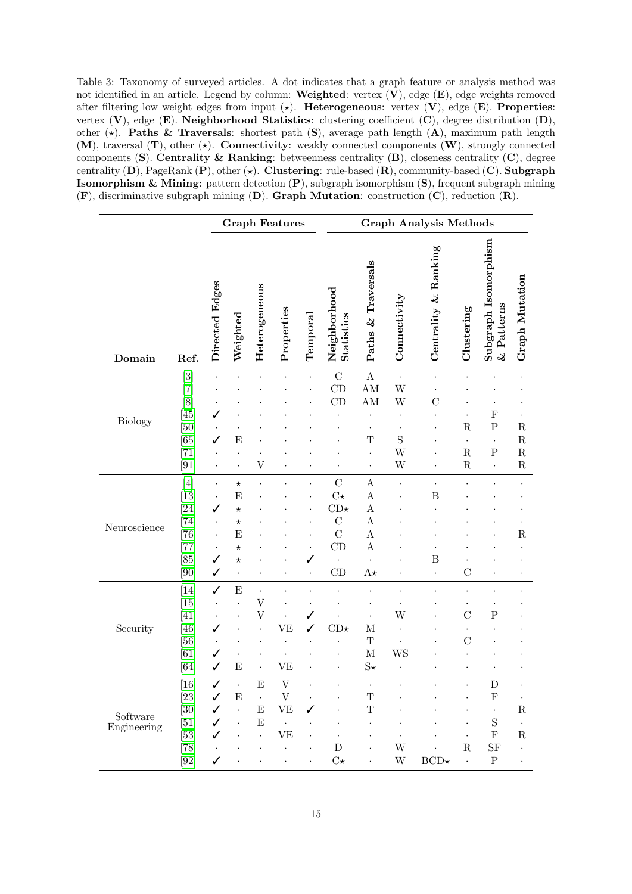<span id="page-14-0"></span>Table 3: Taxonomy of surveyed articles. A dot indicates that a graph feature or analysis method was not identified in an article. Legend by column: **Weighted**: vertex  $(V)$ , edge  $(E)$ , edge weights removed after filtering low weight edges from input  $(\star)$ . Heterogeneous: vertex  $(V)$ , edge  $(E)$ . Properties: vertex  $(V)$ , edge  $(E)$ . Neighborhood Statistics: clustering coefficient  $(C)$ , degree distribution  $(D)$ , other  $(\star)$ . Paths & Traversals: shortest path (S), average path length  $(A)$ , maximum path length  $(M)$ , traversal  $(T)$ , other  $(\star)$ . Connectivity: weakly connected components  $(W)$ , strongly connected components (S). Centrality & Ranking: betweenness centrality (B), closeness centrality (C), degree centrality (D), PageRank (P), other ( $\star$ ). Clustering: rule-based (R), community-based (C). Subgraph **Isomorphism & Mining:** pattern detection  $(P)$ , subgraph isomorphism  $(S)$ , frequent subgraph mining (F), discriminative subgraph mining (D). Graph Mutation: construction (C), reduction (R).

|                                                 |                   | <b>Graph Features</b> |                                              |                             |                            | <b>Graph Analysis Methods</b> |                                   |                                                |                         |                             |                        |                                       |                        |
|-------------------------------------------------|-------------------|-----------------------|----------------------------------------------|-----------------------------|----------------------------|-------------------------------|-----------------------------------|------------------------------------------------|-------------------------|-----------------------------|------------------------|---------------------------------------|------------------------|
| Domain                                          | Ref.              | Directed Edges        | Weighted                                     | Heterogeneous               | Properties                 | Temporal                      | Neighborhood<br><b>Statistics</b> | Paths & Traversals                             | Connectivity            | Centrality & Ranking        | Clustering             | Subgraph Isomorphism<br>$\&$ Patterns | Graph Mutation         |
|                                                 | $[3]$             |                       |                                              |                             |                            |                               | $\mathcal{C}$                     | $\mathbf{A}$                                   | $\ddot{\phantom{0}}$    |                             |                        |                                       |                        |
|                                                 | [7]               |                       |                                              |                             |                            |                               | CD                                | $\mathrm{AM}$                                  | W                       |                             |                        |                                       |                        |
|                                                 | [8]               |                       |                                              |                             |                            |                               | CD                                | $\mathrm{AM}$                                  | W                       | $\mathcal{C}$               |                        |                                       |                        |
| Biology                                         | [45]              |                       |                                              |                             |                            |                               |                                   |                                                |                         |                             |                        | $\mathbf{F}$                          |                        |
|                                                 | [50]              |                       |                                              |                             |                            |                               |                                   |                                                |                         |                             | $\mathbf R$            | $\mathbf P$                           | $\mathbf R$            |
|                                                 | [65]              |                       | Ε                                            |                             |                            |                               |                                   | Τ                                              | S<br>W                  |                             |                        | $\cdot$                               | $\mathbf R$            |
|                                                 | $[71]$<br>$[91]$  |                       |                                              | V                           |                            |                               |                                   |                                                | W                       |                             | $\mathbf R$<br>$\rm R$ | $\mathbf P$<br>$\cdot$                | ${\bf R}$<br>${\bf R}$ |
|                                                 |                   |                       |                                              |                             |                            |                               |                                   |                                                |                         |                             |                        |                                       |                        |
|                                                 | $[4]$<br>$[13]$   |                       | $\star$<br>E                                 |                             |                            |                               | $\mathcal{C}$<br>$C\star$         | $\boldsymbol{\rm{A}}$<br>$\boldsymbol{\rm{A}}$ |                         | $\cdot$<br>$\boldsymbol{B}$ |                        |                                       |                        |
|                                                 | [24]              | √                     | $\star$                                      |                             |                            |                               | $CD*$                             | $\boldsymbol{\rm{A}}$                          |                         |                             |                        |                                       |                        |
|                                                 | [74]              |                       | $\star$                                      |                             |                            |                               | $\mathcal{C}$                     | $\boldsymbol{\rm{A}}$                          |                         |                             |                        |                                       |                        |
| $\begin{array}{c} \rm Neuroscience \end{array}$ | $\left[76\right]$ |                       | E                                            |                             |                            |                               | $\mathcal{C}$                     | A                                              |                         |                             |                        |                                       | $\mathbf R$            |
|                                                 | [77]              |                       | $^\star$                                     |                             |                            |                               | CD                                | $\overline{A}$                                 |                         |                             |                        |                                       |                        |
|                                                 | [85]              | ✓                     | $^\star$                                     |                             |                            |                               | $\ddot{\phantom{0}}$              |                                                |                         | $\boldsymbol{B}$            |                        |                                       |                        |
|                                                 | [90]              | $\checkmark$          |                                              |                             |                            |                               | CD                                | $A\star$                                       |                         | $\ddot{\phantom{0}}$        | $\mathcal{C}$          |                                       |                        |
|                                                 | $[14]$            | ✓                     | E                                            |                             |                            |                               |                                   |                                                |                         |                             |                        |                                       |                        |
|                                                 | $[15]$            |                       |                                              | V                           |                            |                               |                                   |                                                |                         |                             |                        |                                       |                        |
|                                                 | [41]              |                       |                                              | V                           |                            |                               |                                   |                                                | W                       |                             | $\mathcal{C}$          | $\mathbf P$                           |                        |
| Security                                        | [46]              |                       |                                              |                             | VЕ                         |                               | $CD\star$                         | M                                              |                         |                             |                        |                                       |                        |
|                                                 | [56]              |                       |                                              |                             |                            |                               |                                   | $\mathbf T$                                    |                         |                             | $\overline{C}$         |                                       |                        |
|                                                 | [61]              |                       |                                              |                             |                            |                               |                                   | $\mathbf{M}$                                   | WS                      |                             |                        |                                       |                        |
|                                                 | [64]              | ✓                     | E                                            |                             | VE                         |                               |                                   | $S\star$                                       |                         |                             |                        |                                       |                        |
|                                                 | [16]              | ✓                     |                                              | E                           | $\mathbf V$                |                               |                                   |                                                |                         |                             |                        | $\mathbf D$                           |                        |
|                                                 | $[23]$            | ✓                     | ${\bf E}$                                    | $\ddot{\phantom{0}}$        | $\ensuremath{\mathbf{V}}$  |                               |                                   | $\mathbf T$                                    |                         |                             |                        | $\mathbf F$                           | $\cdot$                |
| Software                                        | $[30]$            |                       | $\ddot{\phantom{0}}$                         | ${\bf E}$<br>$\overline{E}$ | $\ensuremath{\mathbf{VE}}$ | ✓                             |                                   | $\mathbf T$                                    |                         |                             |                        | $\cdot$<br>S                          | ${\bf R}$              |
| Engineering                                     | $[51]$<br>$[53]$  | ✓<br>✓                | $\ddot{\phantom{0}}$<br>$\ddot{\phantom{1}}$ | $\ddot{\phantom{0}}$        | ÷.<br><b>VE</b>            |                               | $\ddot{\phantom{0}}$              | $\ddot{\phantom{0}}$<br>$\cdot$                |                         |                             | $\ddot{\phantom{0}}$   | ${\bf F}$                             | $\bullet$<br>${\bf R}$ |
|                                                 | $[78]$            | $\ddot{\phantom{1}}$  |                                              | $\cdot$                     | $\ddot{\phantom{a}}$       |                               | ${\bf D}$                         | $\cdot$                                        | W                       |                             | ${\bf R}$              | SF                                    | $\ddot{\phantom{0}}$   |
|                                                 | $[92]$            | ✓                     |                                              |                             |                            |                               | $C\star$                          | $\ddot{\phantom{0}}$                           | $\ensuremath{\text{W}}$ | $\text{BCD}\star$           | ÷.                     | ${\bf P}$                             |                        |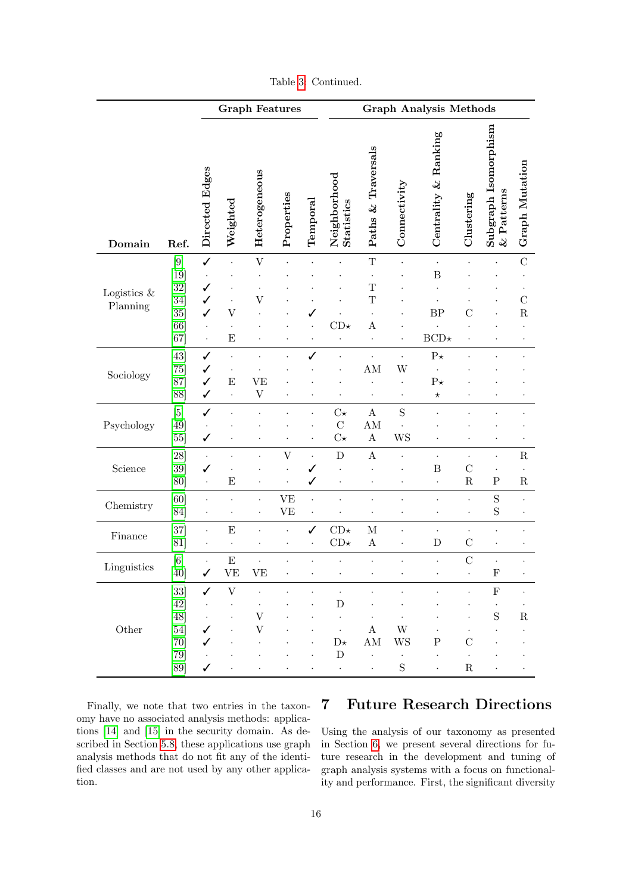|                            |                                                                                                                                                                                                                                                                                                                                                                                                                                                                                                                                                                                                                                                                                                                                                                                                                                                                                                                                                                                                                      | <b>Graph Features</b>                             |                                   |                               |                 |          | <b>Graph Analysis Methods</b>                                                        |                                                                                              |                                            |                                        |                                         |                                         |                                            |
|----------------------------|----------------------------------------------------------------------------------------------------------------------------------------------------------------------------------------------------------------------------------------------------------------------------------------------------------------------------------------------------------------------------------------------------------------------------------------------------------------------------------------------------------------------------------------------------------------------------------------------------------------------------------------------------------------------------------------------------------------------------------------------------------------------------------------------------------------------------------------------------------------------------------------------------------------------------------------------------------------------------------------------------------------------|---------------------------------------------------|-----------------------------------|-------------------------------|-----------------|----------|--------------------------------------------------------------------------------------|----------------------------------------------------------------------------------------------|--------------------------------------------|----------------------------------------|-----------------------------------------|-----------------------------------------|--------------------------------------------|
| Domain                     | Ref.                                                                                                                                                                                                                                                                                                                                                                                                                                                                                                                                                                                                                                                                                                                                                                                                                                                                                                                                                                                                                 | Directed Edges                                    | Weighted                          | Heterogeneous                 | Properties      | Temporal | Neighborhood<br>Statistics                                                           | Paths & Traversals                                                                           | Connectivity                               | Centrality & Ranking                   | Clustering                              | Subgraph Isomorphism<br>& Patterns      | Graph Mutation                             |
| Logistics $\&$<br>Planning | $[9] % \begin{center} % \includegraphics[width=\textwidth]{images/Trigersfig.jpg} % \end{center} % \caption { % Our method can be used for the \textit{excess} and \textit{excess} and \textit{excess} and \textit{excess} and \textit{excess} and \textit{excess} and \textit{excess} and \textit{excess} and \textit{excess} and \textit{excess} and \textit{excess} and \textit{excess} and \textit{excess} and \textit{excess} and \textit{excess} and \textit{excess} and \textit{excess} and \textit{excess} and \textit{excess} and \textit{excess} and \textit{excess} and \textit{excess}$<br>$[19]$<br>[32]<br>[34]<br>$\left[ 35\right]$<br>[66]<br>[67]                                                                                                                                                                                                                                                                                                                                                  | $\checkmark$<br>✓<br>✓<br>$\checkmark$<br>$\cdot$ | $\overline{V}$<br>E               | $\mathbf{V}$<br>V             |                 |          | $CD*$                                                                                | $\mathbf T$<br>T<br>T<br>$\boldsymbol{A}$                                                    |                                            | $\boldsymbol{B}$<br>$\rm BP$<br>$BCD*$ | $\overline{C}$                          |                                         | $\overline{C}$<br>$\mathcal{C}$<br>$\rm R$ |
| Sociology                  | $[43]$<br>$\left[75\right]$<br>[87]<br>[88]                                                                                                                                                                                                                                                                                                                                                                                                                                                                                                                                                                                                                                                                                                                                                                                                                                                                                                                                                                          | ✓<br>✓<br>✓<br>✓                                  | ${\bf E}$<br>$\ddot{\phantom{0}}$ | VE<br>$\overline{\mathbf{V}}$ |                 | ℐ        |                                                                                      | AM                                                                                           | $\ddot{\phantom{0}}$<br>W                  | $P\star$<br>$P\star$<br>$\star$        |                                         |                                         |                                            |
| Psychology                 | [5]<br>$[49]$<br>$[55]$                                                                                                                                                                                                                                                                                                                                                                                                                                                                                                                                                                                                                                                                                                                                                                                                                                                                                                                                                                                              | ✓<br>$\cdot$<br>√                                 |                                   |                               |                 |          | $C\star$<br>$\mathcal{C}$<br>$C\star$                                                | $\mathbf A$<br>AM<br>$\bf A$                                                                 | $\rm S$<br><b>WS</b>                       |                                        |                                         |                                         |                                            |
| Science                    | [28]<br>$[39]$<br>[80]                                                                                                                                                                                                                                                                                                                                                                                                                                                                                                                                                                                                                                                                                                                                                                                                                                                                                                                                                                                               | $\ddot{\phantom{a}}$<br>✓                         | $\mathbf E$                       |                               | V               | ✓<br>✓   | $\mathbf D$                                                                          | $\rm A$                                                                                      |                                            | $\boldsymbol{B}$                       | $\mathcal{C}$<br>$\mathbf R$            | ${\bf P}$                               | $\mathbf R$<br>${\bf R}$                   |
| Chemistry                  | [60]<br>[84]                                                                                                                                                                                                                                                                                                                                                                                                                                                                                                                                                                                                                                                                                                                                                                                                                                                                                                                                                                                                         |                                                   |                                   |                               | VE<br><b>VE</b> |          |                                                                                      |                                                                                              |                                            |                                        |                                         | S<br>S                                  |                                            |
| Finance                    | $[37]$<br>[81]                                                                                                                                                                                                                                                                                                                                                                                                                                                                                                                                                                                                                                                                                                                                                                                                                                                                                                                                                                                                       |                                                   | E                                 |                               |                 | ✓        | $CD*$<br>$CD*$                                                                       | $\mathbf M$<br>$\mathbf A$                                                                   |                                            | $\mathbf D$                            | $\mathcal C$                            |                                         |                                            |
| Linguistics                | $[6] \centering% \includegraphics[width=1.0\textwidth]{figs/fig_0a.pdf} \caption{Schematic plot of the density $a$ in the right panel $1$ and $b$ in the right panel $1$ and $b$ in the right panel $1$ and $b$ in the right panel $1$ and $b$ in the right panel $1$ and $b$ in the right panel $1$. The dashed line shows the density $1$ and $100 $10$ and $100 $10$ respectively.} \label{fig:3}$<br>$[40] \centering% \includegraphics[width=1\textwidth]{Figures/PN1000.pdf} \includegraphics[width=1\textwidth]{Figures/PN1000.pdf} \includegraphics[width=1\textwidth]{Figures/PN1000.pdf} \includegraphics[width=1\textwidth]{Figures/PN1000.pdf} \includegraphics[width=1\textwidth]{Figures/PN1000.pdf} \includegraphics[width=1\textwidth]{Figures/PN1000.pdf} \includegraphics[width=1\textwidth]{Figures/PN1000.pdf} \includegraphics[width=1\textwidth]{Figures/PN1000.pdf} \includegraphics[width=1\textwidth]{Figures/PN1000.pdf} \includegraphics[width=1\textwidth]{Figures/PN1000.pdf} \include$ | ∕                                                 | ${\bf E}$<br><b>VE</b>            | <b>VE</b>                     |                 |          |                                                                                      |                                                                                              |                                            |                                        | $\mathcal{C}$                           | ${\bf F}$                               |                                            |
| Other                      | $[33]$<br>$[42]$<br>$[48]$<br>$[54]$<br>$[70]$<br>$[79]$<br>[89]                                                                                                                                                                                                                                                                                                                                                                                                                                                                                                                                                                                                                                                                                                                                                                                                                                                                                                                                                     | ✓<br>✓<br>✓<br>$\ddot{\phantom{a}}$<br>✓          | $\ensuremath{\mathbf{V}}$         | V<br>V                        |                 |          | $\mathbf D$<br>$\cdot$<br>$\bullet$<br>$D\star$<br>${\rm D}$<br>$\ddot{\phantom{0}}$ | $\cdot$<br>$\boldsymbol{A}$<br>$\mathrm{AM}$<br>$\ddot{\phantom{0}}$<br>$\ddot{\phantom{0}}$ | W<br><b>WS</b><br>$\bullet$<br>$\mathbf S$ | ${\bf P}$<br>$\cdot$<br>$\Box$         | $\mathcal{C}$<br>$\bullet$<br>${\bf R}$ | $\mathbf F$<br>$\bullet$<br>$\mathbf S$ | $\mathbf R$                                |

Table [3:](#page-14-0) Continued.

Finally, we note that two entries in the taxonomy have no associated analysis methods: applications [\[14\]](#page-18-12) and [\[15\]](#page-18-11) in the security domain. As described in Section [5.8,](#page-13-2) these applications use graph analysis methods that do not fit any of the identified classes and are not used by any other application.

# <span id="page-15-0"></span>7 Future Research Directions

Using the analysis of our taxonomy as presented in Section [6,](#page-13-0) we present several directions for future research in the development and tuning of graph analysis systems with a focus on functionality and performance. First, the significant diversity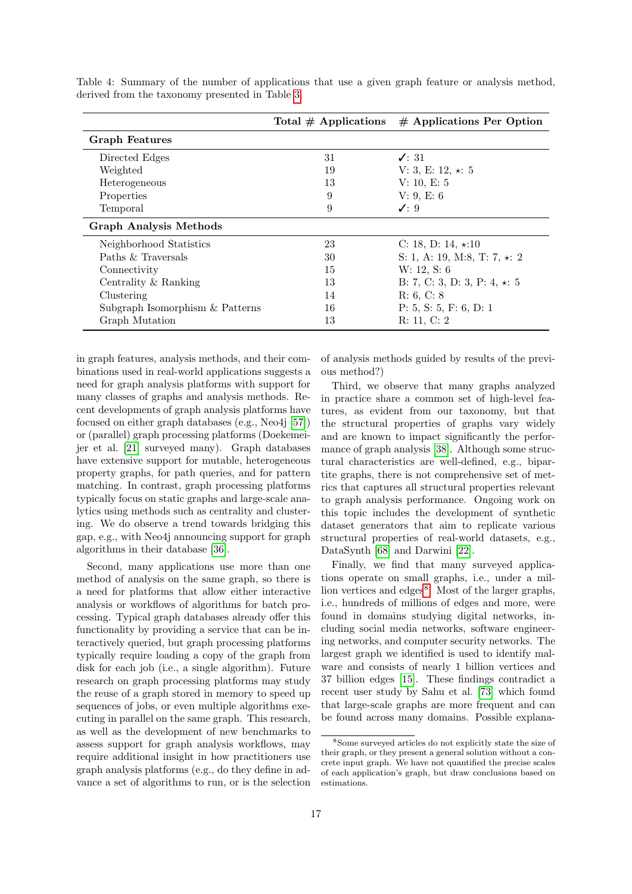|                                 | Total $#$ Applications | # Applications Per Option           |
|---------------------------------|------------------------|-------------------------------------|
| <b>Graph Features</b>           |                        |                                     |
| Directed Edges                  | 31                     | $\sqrt{31}$                         |
| Weighted                        | 19                     | V: 3, E: 12, $\star$ : 5            |
| Heterogeneous                   | 13                     | V: 10, E: 5                         |
| Properties                      | 9                      | V: 9, E: 6                          |
| Temporal                        | 9                      | $\sqrt{2}$ : 9                      |
| Graph Analysis Methods          |                        |                                     |
| Neighborhood Statistics         | 23                     | C: 18, D: 14, $\star$ :10           |
| Paths & Traversals              | 30                     | S: 1, A: 19, M:8, T: 7, $\star$ : 2 |
| Connectivity                    | 15                     | W: 12, S: 6                         |
| Centrality & Ranking            | 13                     | B: 7, C: 3, D: 3, P: 4, $\star$ : 5 |
| Clustering                      | 14                     | R: 6, C: 8                          |
| Subgraph Isomorphism & Patterns | 16                     | P: 5, S: 5, F: 6, D: 1              |
| Graph Mutation                  | 13                     | R: 11, C: 2                         |

<span id="page-16-0"></span>Table 4: Summary of the number of applications that use a given graph feature or analysis method, derived from the taxonomy presented in Table [3.](#page-14-0)

in graph features, analysis methods, and their combinations used in real-world applications suggests a need for graph analysis platforms with support for many classes of graphs and analysis methods. Recent developments of graph analysis platforms have focused on either graph databases (e.g., Neo4j [\[57\]](#page-20-20)) or (parallel) graph processing platforms (Doekemeijer et al. [\[21\]](#page-18-6) surveyed many). Graph databases have extensive support for mutable, heterogeneous property graphs, for path queries, and for pattern matching. In contrast, graph processing platforms typically focus on static graphs and large-scale analytics using methods such as centrality and clustering. We do observe a trend towards bridging this gap, e.g., with Neo4j announcing support for graph algorithms in their database [\[36\]](#page-19-16).

Second, many applications use more than one method of analysis on the same graph, so there is a need for platforms that allow either interactive analysis or workflows of algorithms for batch processing. Typical graph databases already offer this functionality by providing a service that can be interactively queried, but graph processing platforms typically require loading a copy of the graph from disk for each job (i.e., a single algorithm). Future research on graph processing platforms may study the reuse of a graph stored in memory to speed up sequences of jobs, or even multiple algorithms executing in parallel on the same graph. This research, as well as the development of new benchmarks to assess support for graph analysis workflows, may require additional insight in how practitioners use graph analysis platforms (e.g., do they define in advance a set of algorithms to run, or is the selection of analysis methods guided by results of the previous method?)

Third, we observe that many graphs analyzed in practice share a common set of high-level features, as evident from our taxonomy, but that the structural properties of graphs vary widely and are known to impact significantly the performance of graph analysis [\[38\]](#page-19-2). Although some structural characteristics are well-defined, e.g., bipartite graphs, there is not comprehensive set of metrics that captures all structural properties relevant to graph analysis performance. Ongoing work on this topic includes the development of synthetic dataset generators that aim to replicate various structural properties of real-world datasets, e.g., DataSynth [\[68\]](#page-21-19) and Darwini [\[22\]](#page-18-18).

Finally, we find that many surveyed applications operate on small graphs, i.e., under a mil-lion vertices and edges<sup>[8](#page-16-1)</sup>. Most of the larger graphs, i.e., hundreds of millions of edges and more, were found in domains studying digital networks, including social media networks, software engineering networks, and computer security networks. The largest graph we identified is used to identify malware and consists of nearly 1 billion vertices and 37 billion edges [\[15\]](#page-18-11). These findings contradict a recent user study by Sahu et al. [\[73\]](#page-21-20) which found that large-scale graphs are more frequent and can be found across many domains. Possible explana-

<span id="page-16-1"></span><sup>8</sup>Some surveyed articles do not explicitly state the size of their graph, or they present a general solution without a concrete input graph. We have not quantified the precise scales of each application's graph, but draw conclusions based on estimations.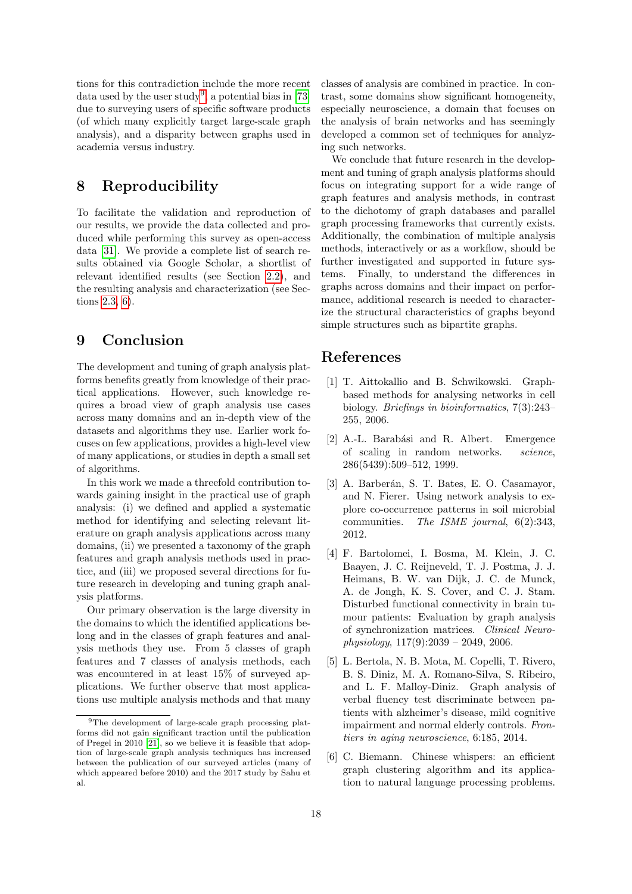tions for this contradiction include the more recent data used by the user study<sup>[9](#page-17-6)</sup>, a potential bias in [\[73\]](#page-21-20) due to surveying users of specific software products (of which many explicitly target large-scale graph analysis), and a disparity between graphs used in academia versus industry.

# 8 Reproducibility

To facilitate the validation and reproduction of our results, we provide the data collected and produced while performing this survey as open-access data [\[31\]](#page-19-17). We provide a complete list of search results obtained via Google Scholar, a shortlist of relevant identified results (see Section [2.2\)](#page-1-2), and the resulting analysis and characterization (see Sections [2.3,](#page-2-2) [6\)](#page-13-0).

# 9 Conclusion

The development and tuning of graph analysis platforms benefits greatly from knowledge of their practical applications. However, such knowledge requires a broad view of graph analysis use cases across many domains and an in-depth view of the datasets and algorithms they use. Earlier work focuses on few applications, provides a high-level view of many applications, or studies in depth a small set of algorithms.

In this work we made a threefold contribution towards gaining insight in the practical use of graph analysis: (i) we defined and applied a systematic method for identifying and selecting relevant literature on graph analysis applications across many domains, (ii) we presented a taxonomy of the graph features and graph analysis methods used in practice, and (iii) we proposed several directions for future research in developing and tuning graph analysis platforms.

Our primary observation is the large diversity in the domains to which the identified applications belong and in the classes of graph features and analysis methods they use. From 5 classes of graph features and 7 classes of analysis methods, each was encountered in at least 15% of surveyed applications. We further observe that most applications use multiple analysis methods and that many

classes of analysis are combined in practice. In contrast, some domains show significant homogeneity, especially neuroscience, a domain that focuses on the analysis of brain networks and has seemingly developed a common set of techniques for analyzing such networks.

We conclude that future research in the development and tuning of graph analysis platforms should focus on integrating support for a wide range of graph features and analysis methods, in contrast to the dichotomy of graph databases and parallel graph processing frameworks that currently exists. Additionally, the combination of multiple analysis methods, interactively or as a workflow, should be further investigated and supported in future systems. Finally, to understand the differences in graphs across domains and their impact on performance, additional research is needed to characterize the structural characteristics of graphs beyond simple structures such as bipartite graphs.

# References

- <span id="page-17-0"></span>[1] T. Aittokallio and B. Schwikowski. Graphbased methods for analysing networks in cell biology. Briefings in bioinformatics, 7(3):243– 255, 2006.
- <span id="page-17-5"></span>[2] A.-L. Barabási and R. Albert. Emergence of scaling in random networks. science, 286(5439):509–512, 1999.
- <span id="page-17-1"></span>[3] A. Barberán, S. T. Bates, E. O. Casamayor, and N. Fierer. Using network analysis to explore co-occurrence patterns in soil microbial communities. The ISME journal, 6(2):343, 2012.
- <span id="page-17-2"></span>[4] F. Bartolomei, I. Bosma, M. Klein, J. C. Baayen, J. C. Reijneveld, T. J. Postma, J. J. Heimans, B. W. van Dijk, J. C. de Munck, A. de Jongh, K. S. Cover, and C. J. Stam. Disturbed functional connectivity in brain tumour patients: Evaluation by graph analysis of synchronization matrices. Clinical Neurophysiology, 117(9):2039 – 2049, 2006.
- <span id="page-17-3"></span>[5] L. Bertola, N. B. Mota, M. Copelli, T. Rivero, B. S. Diniz, M. A. Romano-Silva, S. Ribeiro, and L. F. Malloy-Diniz. Graph analysis of verbal fluency test discriminate between patients with alzheimer's disease, mild cognitive impairment and normal elderly controls. Frontiers in aging neuroscience, 6:185, 2014.
- <span id="page-17-4"></span>[6] C. Biemann. Chinese whispers: an efficient graph clustering algorithm and its application to natural language processing problems.

<span id="page-17-6"></span><sup>&</sup>lt;sup>9</sup>The development of large-scale graph processing platforms did not gain significant traction until the publication of Pregel in 2010 [\[21\]](#page-18-6), so we believe it is feasible that adoption of large-scale graph analysis techniques has increased between the publication of our surveyed articles (many of which appeared before 2010) and the 2017 study by Sahu et al.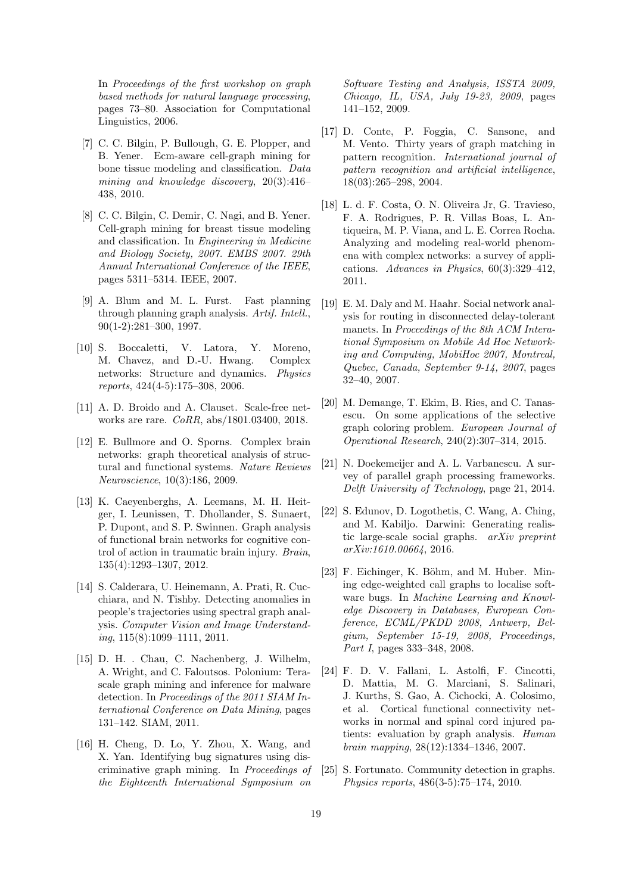In Proceedings of the first workshop on graph based methods for natural language processing, pages 73–80. Association for Computational Linguistics, 2006.

- <span id="page-18-7"></span>[7] C. C. Bilgin, P. Bullough, G. E. Plopper, and B. Yener. Ecm-aware cell-graph mining for bone tissue modeling and classification. Data mining and knowledge discovery, 20(3):416– 438, 2010.
- <span id="page-18-8"></span>[8] C. C. Bilgin, C. Demir, C. Nagi, and B. Yener. Cell-graph mining for breast tissue modeling and classification. In Engineering in Medicine and Biology Society, 2007. EMBS 2007. 29th Annual International Conference of the IEEE, pages 5311–5314. IEEE, 2007.
- <span id="page-18-15"></span>[9] A. Blum and M. L. Furst. Fast planning through planning graph analysis. Artif. Intell., 90(1-2):281–300, 1997.
- <span id="page-18-4"></span>[10] S. Boccaletti, V. Latora, Y. Moreno, M. Chavez, and D.-U. Hwang. Complex networks: Structure and dynamics. Physics reports, 424(4-5):175–308, 2006.
- <span id="page-18-17"></span>[11] A. D. Broido and A. Clauset. Scale-free networks are rare. CoRR, abs/1801.03400, 2018.
- <span id="page-18-0"></span>[12] E. Bullmore and O. Sporns. Complex brain networks: graph theoretical analysis of structural and functional systems. Nature Reviews Neuroscience, 10(3):186, 2009.
- <span id="page-18-9"></span>[13] K. Caeyenberghs, A. Leemans, M. H. Heitger, I. Leunissen, T. Dhollander, S. Sunaert, P. Dupont, and S. P. Swinnen. Graph analysis of functional brain networks for cognitive control of action in traumatic brain injury. Brain, 135(4):1293–1307, 2012.
- <span id="page-18-12"></span>[14] S. Calderara, U. Heinemann, A. Prati, R. Cucchiara, and N. Tishby. Detecting anomalies in people's trajectories using spectral graph analysis. Computer Vision and Image Understanding, 115(8):1099–1111, 2011.
- <span id="page-18-11"></span>[15] D. H. . Chau, C. Nachenberg, J. Wilhelm, A. Wright, and C. Faloutsos. Polonium: Terascale graph mining and inference for malware detection. In Proceedings of the 2011 SIAM International Conference on Data Mining, pages 131–142. SIAM, 2011.
- <span id="page-18-13"></span>[16] H. Cheng, D. Lo, Y. Zhou, X. Wang, and X. Yan. Identifying bug signatures using discriminative graph mining. In Proceedings of the Eighteenth International Symposium on

Software Testing and Analysis, ISSTA 2009, Chicago, IL, USA, July 19-23, 2009, pages 141–152, 2009.

- <span id="page-18-1"></span>[17] D. Conte, P. Foggia, C. Sansone, and M. Vento. Thirty years of graph matching in pattern recognition. International journal of pattern recognition and artificial intelligence, 18(03):265–298, 2004.
- <span id="page-18-5"></span>[18] L. d. F. Costa, O. N. Oliveira Jr, G. Travieso, F. A. Rodrigues, P. R. Villas Boas, L. Antiqueira, M. P. Viana, and L. E. Correa Rocha. Analyzing and modeling real-world phenomena with complex networks: a survey of applications. Advances in Physics, 60(3):329–412, 2011.
- <span id="page-18-16"></span>[19] E. M. Daly and M. Haahr. Social network analysis for routing in disconnected delay-tolerant manets. In Proceedings of the 8th ACM Interational Symposium on Mobile Ad Hoc Networking and Computing, MobiHoc 2007, Montreal, Quebec, Canada, September 9-14, 2007, pages 32–40, 2007.
- <span id="page-18-2"></span>[20] M. Demange, T. Ekim, B. Ries, and C. Tanasescu. On some applications of the selective graph coloring problem. European Journal of Operational Research, 240(2):307–314, 2015.
- <span id="page-18-6"></span>[21] N. Doekemeijer and A. L. Varbanescu. A survey of parallel graph processing frameworks. Delft University of Technology, page 21, 2014.
- <span id="page-18-18"></span>[22] S. Edunov, D. Logothetis, C. Wang, A. Ching, and M. Kabiljo. Darwini: Generating realistic large-scale social graphs. arXiv preprint arXiv:1610.00664, 2016.
- <span id="page-18-14"></span>[23] F. Eichinger, K. Böhm, and M. Huber. Mining edge-weighted call graphs to localise software bugs. In Machine Learning and Knowledge Discovery in Databases, European Conference, ECML/PKDD 2008, Antwerp, Belgium, September 15-19, 2008, Proceedings, Part I, pages 333–348, 2008.
- <span id="page-18-10"></span>[24] F. D. V. Fallani, L. Astolfi, F. Cincotti, D. Mattia, M. G. Marciani, S. Salinari, J. Kurths, S. Gao, A. Cichocki, A. Colosimo, et al. Cortical functional connectivity networks in normal and spinal cord injured patients: evaluation by graph analysis. Human brain mapping, 28(12):1334–1346, 2007.
- <span id="page-18-3"></span>[25] S. Fortunato. Community detection in graphs. Physics reports, 486(3-5):75–174, 2010.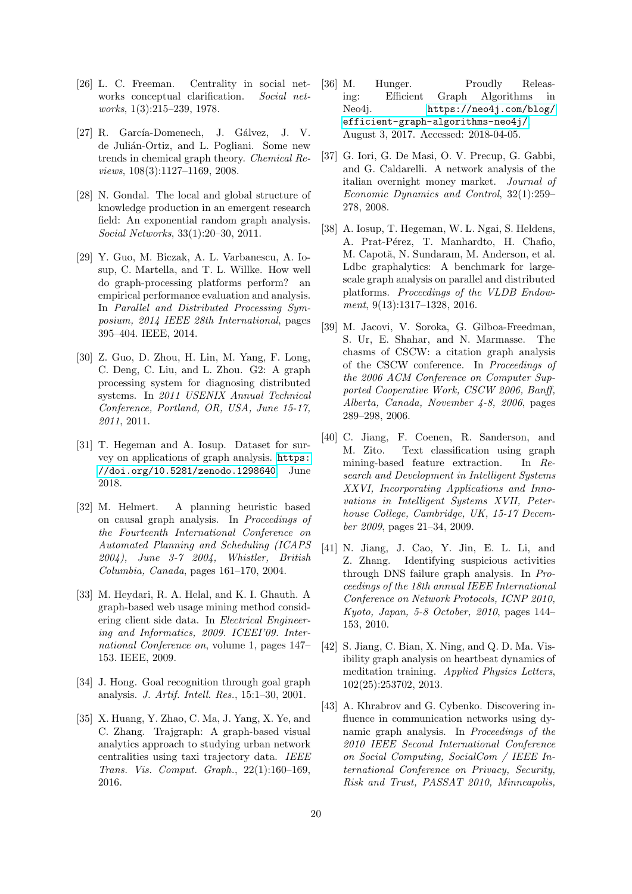- <span id="page-19-15"></span>[26] L. C. Freeman. Centrality in social networks conceptual clarification. Social networks, 1(3):215–239, 1978.
- <span id="page-19-0"></span>[27] R. García-Domenech, J. Gálvez, J. V. de Julián-Ortiz, and L. Pogliani. Some new trends in chemical graph theory. Chemical Reviews, 108(3):1127–1169, 2008.
- <span id="page-19-10"></span>[28] N. Gondal. The local and global structure of knowledge production in an emergent research field: An exponential random graph analysis. Social Networks, 33(1):20–30, 2011.
- <span id="page-19-1"></span>[29] Y. Guo, M. Biczak, A. L. Varbanescu, A. Iosup, C. Martella, and T. L. Willke. How well do graph-processing platforms perform? an empirical performance evaluation and analysis. In Parallel and Distributed Processing Symposium, 2014 IEEE 28th International, pages 395–404. IEEE, 2014.
- <span id="page-19-4"></span>[30] Z. Guo, D. Zhou, H. Lin, M. Yang, F. Long, C. Deng, C. Liu, and L. Zhou. G2: A graph processing system for diagnosing distributed systems. In 2011 USENIX Annual Technical Conference, Portland, OR, USA, June 15-17, 2011, 2011.
- <span id="page-19-17"></span>[31] T. Hegeman and A. Iosup. Dataset for survey on applications of graph analysis. [https:](https://doi.org/10.5281/zenodo.1298640) [//doi.org/10.5281/zenodo.1298640](https://doi.org/10.5281/zenodo.1298640), June 2018.
- <span id="page-19-7"></span>[32] M. Helmert. A planning heuristic based on causal graph analysis. In Proceedings of the Fourteenth International Conference on Automated Planning and Scheduling (ICAPS 2004), June 3-7 2004, Whistler, British Columbia, Canada, pages 161–170, 2004.
- <span id="page-19-14"></span>[33] M. Heydari, R. A. Helal, and K. I. Ghauth. A graph-based web usage mining method considering client side data. In Electrical Engineering and Informatics, 2009. ICEEI'09. International Conference on, volume 1, pages 147– 153. IEEE, 2009.
- <span id="page-19-6"></span>[34] J. Hong. Goal recognition through goal graph analysis. J. Artif. Intell. Res., 15:1–30, 2001.
- <span id="page-19-5"></span>[35] X. Huang, Y. Zhao, C. Ma, J. Yang, X. Ye, and C. Zhang. Trajgraph: A graph-based visual analytics approach to studying urban network centralities using taxi trajectory data. IEEE Trans. Vis. Comput. Graph., 22(1):160–169, 2016.
- <span id="page-19-16"></span>[36] M. Hunger. Proudly Releasing: Efficient Graph Algorithms in Neo4j. [https://neo4j.com/blog/](https://neo4j.com/blog/efficient-graph-algorithms-neo4j/) [efficient-graph-algorithms-neo4j/](https://neo4j.com/blog/efficient-graph-algorithms-neo4j/), August 3, 2017. Accessed: 2018-04-05.
- <span id="page-19-11"></span>[37] G. Iori, G. De Masi, O. V. Precup, G. Gabbi, and G. Caldarelli. A network analysis of the italian overnight money market. Journal of Economic Dynamics and Control, 32(1):259– 278, 2008.
- <span id="page-19-2"></span>[38] A. Iosup, T. Hegeman, W. L. Ngai, S. Heldens, A. Prat-Pérez, T. Manhardto, H. Chafio, M. Capotă, N. Sundaram, M. Anderson, et al. Ldbc graphalytics: A benchmark for largescale graph analysis on parallel and distributed platforms. Proceedings of the VLDB Endowment, 9(13):1317-1328, 2016.
- <span id="page-19-9"></span>[39] M. Jacovi, V. Soroka, G. Gilboa-Freedman, S. Ur, E. Shahar, and N. Marmasse. The chasms of CSCW: a citation graph analysis of the CSCW conference. In Proceedings of the 2006 ACM Conference on Computer Supported Cooperative Work, CSCW 2006, Banff, Alberta, Canada, November 4-8, 2006, pages 289–298, 2006.
- <span id="page-19-12"></span>[40] C. Jiang, F. Coenen, R. Sanderson, and M. Zito. Text classification using graph mining-based feature extraction. In Research and Development in Intelligent Systems XXVI, Incorporating Applications and Innovations in Intelligent Systems XVII, Peterhouse College, Cambridge, UK, 15-17 December 2009, pages 21–34, 2009.
- <span id="page-19-3"></span>[41] N. Jiang, J. Cao, Y. Jin, E. L. Li, and Z. Zhang. Identifying suspicious activities through DNS failure graph analysis. In Proceedings of the 18th annual IEEE International Conference on Network Protocols, ICNP 2010, Kyoto, Japan, 5-8 October, 2010, pages 144– 153, 2010.
- <span id="page-19-13"></span>[42] S. Jiang, C. Bian, X. Ning, and Q. D. Ma. Visibility graph analysis on heartbeat dynamics of meditation training. Applied Physics Letters, 102(25):253702, 2013.
- <span id="page-19-8"></span>[43] A. Khrabrov and G. Cybenko. Discovering influence in communication networks using dynamic graph analysis. In Proceedings of the 2010 IEEE Second International Conference on Social Computing, SocialCom / IEEE International Conference on Privacy, Security, Risk and Trust, PASSAT 2010, Minneapolis,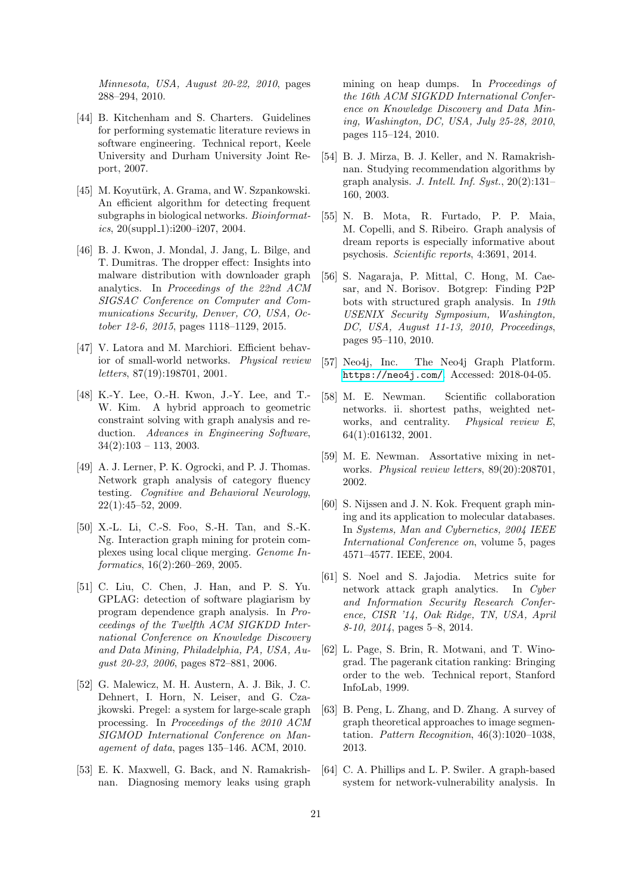Minnesota, USA, August 20-22, 2010, pages 288–294, 2010.

- <span id="page-20-2"></span>[44] B. Kitchenham and S. Charters. Guidelines for performing systematic literature reviews in software engineering. Technical report, Keele University and Durham University Joint Report, 2007.
- <span id="page-20-4"></span>[45] M. Koyutürk, A. Grama, and W. Szpankowski. An efficient algorithm for detecting frequent subgraphs in biological networks. Bioinformat $ics, 20(suppl_1):i200-i207, 2004.$
- <span id="page-20-7"></span>[46] B. J. Kwon, J. Mondal, J. Jang, L. Bilge, and T. Dumitras. The dropper effect: Insights into malware distribution with downloader graph analytics. In Proceedings of the 22nd ACM SIGSAC Conference on Computer and Communications Security, Denver, CO, USA, October 12-6, 2015, pages 1118–1129, 2015.
- <span id="page-20-17"></span>[47] V. Latora and M. Marchiori. Efficient behavior of small-world networks. Physical review letters, 87(19):198701, 2001.
- <span id="page-20-14"></span>[48] K.-Y. Lee, O.-H. Kwon, J.-Y. Lee, and T.- W. Kim. A hybrid approach to geometric constraint solving with graph analysis and reduction. Advances in Engineering Software,  $34(2):103 - 113, 2003.$
- <span id="page-20-12"></span>[49] A. J. Lerner, P. K. Ogrocki, and P. J. Thomas. Network graph analysis of category fluency testing. Cognitive and Behavioral Neurology, 22(1):45–52, 2009.
- <span id="page-20-3"></span>[50] X.-L. Li, C.-S. Foo, S.-H. Tan, and S.-K. Ng. Interaction graph mining for protein complexes using local clique merging. Genome Informatics, 16(2):260–269, 2005.
- <span id="page-20-10"></span>[51] C. Liu, C. Chen, J. Han, and P. S. Yu. GPLAG: detection of software plagiarism by program dependence graph analysis. In Proceedings of the Twelfth ACM SIGKDD International Conference on Knowledge Discovery and Data Mining, Philadelphia, PA, USA, August 20-23, 2006, pages 872–881, 2006.
- <span id="page-20-1"></span>[52] G. Malewicz, M. H. Austern, A. J. Bik, J. C. Dehnert, I. Horn, N. Leiser, and G. Czajkowski. Pregel: a system for large-scale graph processing. In Proceedings of the 2010 ACM SIGMOD International Conference on Management of data, pages 135–146. ACM, 2010.
- <span id="page-20-9"></span>[53] E. K. Maxwell, G. Back, and N. Ramakrishnan. Diagnosing memory leaks using graph

mining on heap dumps. In *Proceedings of* the 16th ACM SIGKDD International Conference on Knowledge Discovery and Data Mining, Washington, DC, USA, July 25-28, 2010, pages 115–124, 2010.

- <span id="page-20-15"></span>[54] B. J. Mirza, B. J. Keller, and N. Ramakrishnan. Studying recommendation algorithms by graph analysis. J. Intell. Inf. Syst.,  $20(2):131-$ 160, 2003.
- <span id="page-20-11"></span>[55] N. B. Mota, R. Furtado, P. P. Maia, M. Copelli, and S. Ribeiro. Graph analysis of dream reports is especially informative about psychosis. Scientific reports, 4:3691, 2014.
- <span id="page-20-8"></span>[56] S. Nagaraja, P. Mittal, C. Hong, M. Caesar, and N. Borisov. Botgrep: Finding P2P bots with structured graph analysis. In 19th USENIX Security Symposium, Washington, DC, USA, August 11-13, 2010, Proceedings, pages 95–110, 2010.
- <span id="page-20-20"></span>[57] Neo4j, Inc. The Neo4j Graph Platform. <https://neo4j.com/>. Accessed: 2018-04-05.
- <span id="page-20-16"></span>[58] M. E. Newman. Scientific collaboration networks. ii. shortest paths, weighted networks, and centrality. Physical review E, 64(1):016132, 2001.
- <span id="page-20-18"></span>[59] M. E. Newman. Assortative mixing in networks. Physical review letters, 89(20):208701, 2002.
- <span id="page-20-13"></span>[60] S. Nijssen and J. N. Kok. Frequent graph mining and its application to molecular databases. In Systems, Man and Cybernetics, 2004 IEEE International Conference on, volume 5, pages 4571–4577. IEEE, 2004.
- <span id="page-20-6"></span>[61] S. Noel and S. Jajodia. Metrics suite for network attack graph analytics. In Cyber and Information Security Research Conference, CISR '14, Oak Ridge, TN, USA, April 8-10, 2014, pages 5–8, 2014.
- <span id="page-20-19"></span>[62] L. Page, S. Brin, R. Motwani, and T. Winograd. The pagerank citation ranking: Bringing order to the web. Technical report, Stanford InfoLab, 1999.
- <span id="page-20-0"></span>[63] B. Peng, L. Zhang, and D. Zhang. A survey of graph theoretical approaches to image segmentation. Pattern Recognition, 46(3):1020–1038, 2013.
- <span id="page-20-5"></span>[64] C. A. Phillips and L. P. Swiler. A graph-based system for network-vulnerability analysis. In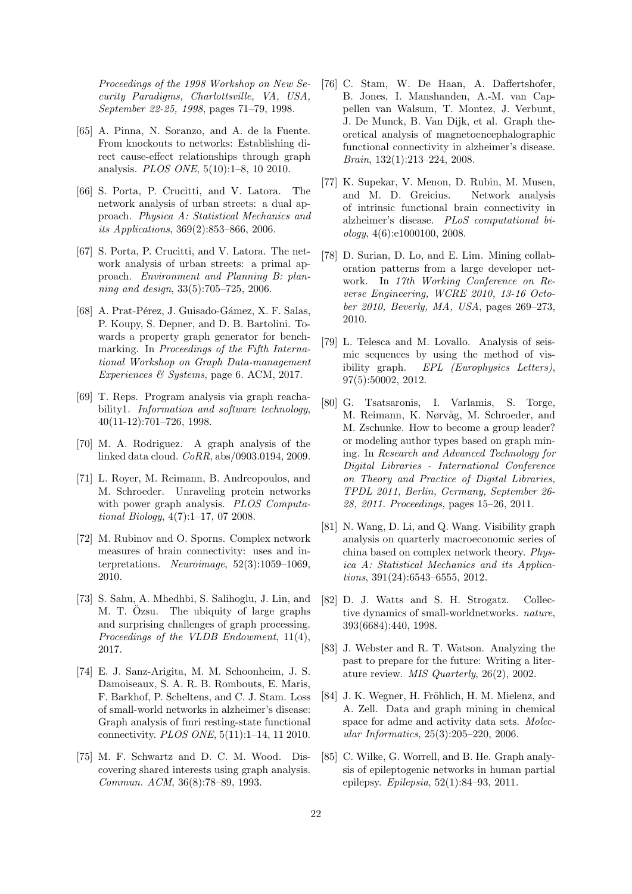Proceedings of the 1998 Workshop on New Security Paradigms, Charlottsville, VA, USA, September 22-25, 1998, pages 71–79, 1998.

- <span id="page-21-2"></span>[65] A. Pinna, N. Soranzo, and A. de la Fuente. From knockouts to networks: Establishing direct cause-effect relationships through graph analysis. PLOS ONE, 5(10):1–8, 10 2010.
- <span id="page-21-11"></span>[66] S. Porta, P. Crucitti, and V. Latora. The network analysis of urban streets: a dual approach. Physica A: Statistical Mechanics and its Applications, 369(2):853–866, 2006.
- <span id="page-21-10"></span>[67] S. Porta, P. Crucitti, and V. Latora. The network analysis of urban streets: a primal approach. Environment and Planning B: planning and design, 33(5):705–725, 2006.
- <span id="page-21-19"></span>[68] A. Prat-Pérez, J. Guisado-Gámez, X. F. Salas, P. Koupy, S. Depner, and D. B. Bartolini. Towards a property graph generator for benchmarking. In Proceedings of the Fifth International Workshop on Graph Data-management Experiences & Systems, page 6. ACM, 2017.
- <span id="page-21-0"></span>[69] T. Reps. Program analysis via graph reachability1. Information and software technology, 40(11-12):701–726, 1998.
- <span id="page-21-16"></span>[70] M. A. Rodriguez. A graph analysis of the linked data cloud. CoRR, abs/0903.0194, 2009.
- <span id="page-21-3"></span>[71] L. Royer, M. Reimann, B. Andreopoulos, and M. Schroeder. Unraveling protein networks with power graph analysis. PLOS Computational Biology, 4(7):1–17, 07 2008.
- <span id="page-21-18"></span>[72] M. Rubinov and O. Sporns. Complex network measures of brain connectivity: uses and interpretations. Neuroimage, 52(3):1059–1069, 2010.
- <span id="page-21-20"></span>[73] S. Sahu, A. Mhedhbi, S. Salihoglu, J. Lin, and M. T.  $\ddot{O}$ zsu. The ubiquity of large graphs and surprising challenges of graph processing. Proceedings of the VLDB Endowment, 11(4), 2017.
- <span id="page-21-5"></span>[74] E. J. Sanz-Arigita, M. M. Schoonheim, J. S. Damoiseaux, S. A. R. B. Rombouts, E. Maris, F. Barkhof, P. Scheltens, and C. J. Stam. Loss of small-world networks in alzheimer's disease: Graph analysis of fmri resting-state functional connectivity. PLOS ONE, 5(11):1–14, 11 2010.
- <span id="page-21-12"></span>[75] M. F. Schwartz and D. C. M. Wood. Discovering shared interests using graph analysis. Commun. ACM, 36(8):78–89, 1993.
- <span id="page-21-7"></span>[76] C. Stam, W. De Haan, A. Daffertshofer, B. Jones, I. Manshanden, A.-M. van Cappellen van Walsum, T. Montez, J. Verbunt, J. De Munck, B. Van Dijk, et al. Graph theoretical analysis of magnetoencephalographic functional connectivity in alzheimer's disease. Brain, 132(1):213–224, 2008.
- <span id="page-21-6"></span>[77] K. Supekar, V. Menon, D. Rubin, M. Musen, and M. D. Greicius. Network analysis of intrinsic functional brain connectivity in alzheimer's disease. PLoS computational biology, 4(6):e1000100, 2008.
- <span id="page-21-9"></span>[78] D. Surian, D. Lo, and E. Lim. Mining collaboration patterns from a large developer network. In 17th Working Conference on Reverse Engineering, WCRE 2010, 13-16 October 2010, Beverly, MA, USA, pages 269–273, 2010.
- <span id="page-21-17"></span>[79] L. Telesca and M. Lovallo. Analysis of seismic sequences by using the method of visibility graph. EPL (Europhysics Letters), 97(5):50002, 2012.
- <span id="page-21-13"></span>[80] G. Tsatsaronis, I. Varlamis, S. Torge, M. Reimann, K. Nørvåg, M. Schroeder, and M. Zschunke. How to become a group leader? or modeling author types based on graph mining. In Research and Advanced Technology for Digital Libraries - International Conference on Theory and Practice of Digital Libraries, TPDL 2011, Berlin, Germany, September 26- 28, 2011. Proceedings, pages 15–26, 2011.
- <span id="page-21-15"></span>[81] N. Wang, D. Li, and Q. Wang. Visibility graph analysis on quarterly macroeconomic series of china based on complex network theory. Physica A: Statistical Mechanics and its Applications, 391(24):6543–6555, 2012.
- <span id="page-21-4"></span>[82] D. J. Watts and S. H. Strogatz. Collective dynamics of small-worldnetworks. nature, 393(6684):440, 1998.
- <span id="page-21-1"></span>[83] J. Webster and R. T. Watson. Analyzing the past to prepare for the future: Writing a literature review. MIS Quarterly, 26(2), 2002.
- <span id="page-21-14"></span>[84] J. K. Wegner, H. Fröhlich, H. M. Mielenz, and A. Zell. Data and graph mining in chemical space for adme and activity data sets. Molecular Informatics, 25(3):205–220, 2006.
- <span id="page-21-8"></span>[85] C. Wilke, G. Worrell, and B. He. Graph analysis of epileptogenic networks in human partial epilepsy. Epilepsia, 52(1):84–93, 2011.